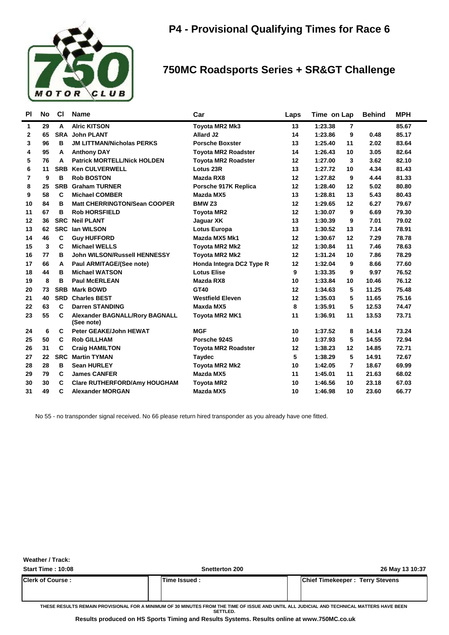

**Weather / Track:** 

### **750MC Roadsports Series + SR&GT Challenge**

| <b>PI</b>   | <b>No</b> | <b>CI</b>  | <b>Name</b>                                         | Car                        | Laps | Time on Lap |    | <b>Behind</b> | <b>MPH</b> |
|-------------|-----------|------------|-----------------------------------------------------|----------------------------|------|-------------|----|---------------|------------|
| 1           | 29        | A          | <b>Alric KITSON</b>                                 | <b>Toyota MR2 Mk3</b>      | 13   | 1:23.38     | 7  |               | 85.67      |
| $\mathbf 2$ | 65        | <b>SRA</b> | <b>John PLANT</b>                                   | Allard J2                  | 14   | 1:23.86     | 9  | 0.48          | 85.17      |
| 3           | 96        | в          | <b>JM LITTMAN/Nicholas PERKS</b>                    | <b>Porsche Boxster</b>     | 13   | 1:25.40     | 11 | 2.02          | 83.64      |
| 4           | 95        | A          | <b>Anthony DAY</b>                                  | <b>Toyota MR2 Roadster</b> | 14   | 1:26.43     | 10 | 3.05          | 82.64      |
| 5           | 76        | A          | <b>Patrick MORTELL/Nick HOLDEN</b>                  | <b>Toyota MR2 Roadster</b> | 12   | 1:27.00     | 3  | 3.62          | 82.10      |
| 6           | 11        | <b>SRB</b> | <b>Ken CULVERWELL</b>                               | Lotus 23R                  | 13   | 1:27.72     | 10 | 4.34          | 81.43      |
| 7           | 9         | в          | <b>Rob BOSTON</b>                                   | Mazda RX8                  | 12   | 1:27.82     | 9  | 4.44          | 81.33      |
| 8           | 25        | <b>SRB</b> | <b>Graham TURNER</b>                                | Porsche 917K Replica       | 12   | 1:28.40     | 12 | 5.02          | 80.80      |
| 9           | 58        | C          | <b>Michael COMBER</b>                               | Mazda MX5                  | 13   | 1:28.81     | 13 | 5.43          | 80.43      |
| 10          | 84        | в          | <b>Matt CHERRINGTON/Sean COOPER</b>                 | BMW <sub>Z3</sub>          | 12   | 1:29.65     | 12 | 6.27          | 79.67      |
| 11          | 67        | в          | <b>Rob HORSFIELD</b>                                | <b>Toyota MR2</b>          | 12   | 1:30.07     | 9  | 6.69          | 79.30      |
| 12          | 36        | <b>SRC</b> | <b>Neil PLANT</b>                                   | Jaguar XK                  | 13   | 1:30.39     | 9  | 7.01          | 79.02      |
| 13          | 62        | <b>SRC</b> | <b>Ian WILSON</b>                                   | <b>Lotus Europa</b>        | 13   | 1:30.52     | 13 | 7.14          | 78.91      |
| 14          | 46        | C          | <b>Guy HUFFORD</b>                                  | Mazda MX5 Mk1              | 12   | 1:30.67     | 12 | 7.29          | 78.78      |
| 15          | 3         | C          | <b>Michael WELLS</b>                                | Toyota MR2 Mk2             | 12   | 1:30.84     | 11 | 7.46          | 78.63      |
| 16          | 77        | в          | <b>John WILSON/Russell HENNESSY</b>                 | Toyota MR2 Mk2             | 12   | 1:31.24     | 10 | 7.86          | 78.29      |
| 17          | 66        | A          | Paul ARMITAGE/(See note)                            | Honda Integra DC2 Type R   | 12   | 1:32.04     | 9  | 8.66          | 77.60      |
| 18          | 44        | в          | <b>Michael WATSON</b>                               | <b>Lotus Elise</b>         | 9    | 1:33.35     | 9  | 9.97          | 76.52      |
| 19          | 8         | B          | <b>Paul McERLEAN</b>                                | Mazda RX8                  | 10   | 1:33.84     | 10 | 10.46         | 76.12      |
| 20          | 73        | <b>SRB</b> | <b>Mark BOWD</b>                                    | GT40                       | 12   | 1:34.63     | 5  | 11.25         | 75.48      |
| 21          | 40        | <b>SRD</b> | <b>Charles BEST</b>                                 | <b>Westfield Eleven</b>    | 12   | 1:35.03     | 5  | 11.65         | 75.16      |
| 22          | 63        | C          | <b>Darren STANDING</b>                              | Maxda MX5                  | 8    | 1:35.91     | 5  | 12.53         | 74.47      |
| 23          | 55        | С          | <b>Alexander BAGNALL/Rory BAGNALL</b><br>(See note) | <b>Toyota MR2 MK1</b>      | 11   | 1:36.91     | 11 | 13.53         | 73.71      |
| 24          | 6         | C          | <b>Peter GEAKE/John HEWAT</b>                       | <b>MGF</b>                 | 10   | 1:37.52     | 8  | 14.14         | 73.24      |
| 25          | 50        | C          | <b>Rob GILLHAM</b>                                  | Porsche 924S               | 10   | 1:37.93     | 5  | 14.55         | 72.94      |
| 26          | 31        | C          | <b>Craig HAMILTON</b>                               | <b>Toyota MR2 Roadster</b> | 12   | 1:38.23     | 12 | 14.85         | 72.71      |
| 27          | 22        | <b>SRC</b> | <b>Martin TYMAN</b>                                 | <b>Taydec</b>              | 5    | 1:38.29     | 5  | 14.91         | 72.67      |
| 28          | 28        | в          | <b>Sean HURLEY</b>                                  | <b>Toyota MR2 Mk2</b>      | 10   | 1:42.05     | 7  | 18.67         | 69.99      |
| 29          | 79        | C          | <b>James CANFER</b>                                 | Mazda MX5                  | 11   | 1:45.01     | 11 | 21.63         | 68.02      |
| 30          | 30        | C          | <b>Clare RUTHERFORD/Amy HOUGHAM</b>                 | <b>Toyota MR2</b>          | 10   | 1:46.56     | 10 | 23.18         | 67.03      |
| 31          | 49        | C          | Alexander MORGAN                                    | Mazda MX5                  | 10   | 1:46.98     | 10 | 23.60         | 66.77      |

No 55 - no transponder signal received. No 66 please return hired transponder as you already have one fitted.

| <b>Start Time: 10:08</b> | <b>Snetterton 200</b>                                                                                                                      | 26 May 13 10:37                        |
|--------------------------|--------------------------------------------------------------------------------------------------------------------------------------------|----------------------------------------|
| <b>Clerk of Course :</b> | lTime Issued :                                                                                                                             | <b>Chief Timekeeper: Terry Stevens</b> |
|                          | TUESE DESULTS DEMAIN DROVISIONAL EOD A MINIMUM OF 20 MINUTES FROM TUE TIME OF ISSUE AND UNITH ALL HUDIOIAL AND TESUNIOAL MATTERS HAVE DEEN |                                        |

SE RESULTS REMAIN PROVISIONAL FOR A MINIMUM OF 30 MINUTES FROM THE TIME OF ISSUE AND UNTIL ALL JUDICIAL AND TECHNICAL MATTERS HAVE BE **SETTLED.**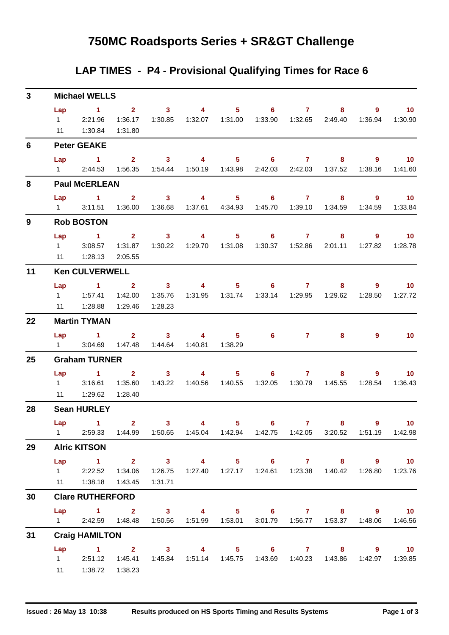## **750MC Roadsports Series + SR&GT Challenge**

### **LAP TIMES - P4 - Provisional Qualifying Times for Race 6**

| 3  |                               | <b>Michael WELLS</b>                                                                                                                  |                                                     |                                                        |                                               |                                                                                                                                                                                                                                                                                                                                             |                   |              |                                                                         |                        |                              |
|----|-------------------------------|---------------------------------------------------------------------------------------------------------------------------------------|-----------------------------------------------------|--------------------------------------------------------|-----------------------------------------------|---------------------------------------------------------------------------------------------------------------------------------------------------------------------------------------------------------------------------------------------------------------------------------------------------------------------------------------------|-------------------|--------------|-------------------------------------------------------------------------|------------------------|------------------------------|
|    | Lap<br>11                     | $\sim$ 1<br>1 2:21.96<br>1:30.84                                                                                                      | $\overline{2}$ $\overline{3}$<br>1:36.17<br>1:31.80 | 1:30.85                                                | $\sim$ 4 and $\sim$ 4 and $\sim$ 4 and $\sim$ | 1:32.07  1:31.00                                                                                                                                                                                                                                                                                                                            | $5 \t\t 6 \t\t 7$ |              | 8                                                                       | 9<br>1:36.94           | $\sim$ 10<br>1:30.90         |
| 6  |                               | <b>Peter GEAKE</b>                                                                                                                    |                                                     |                                                        |                                               |                                                                                                                                                                                                                                                                                                                                             |                   |              |                                                                         |                        |                              |
|    | Lap                           | $\sim$ 1<br>$1 \quad 2:44.53$                                                                                                         | $\overline{2}$ $\overline{3}$                       | 1:56.35  1:54.44  1:50.19  1:43.98                     | $\sim$ 4 $\sim$                               |                                                                                                                                                                                                                                                                                                                                             | $5 \t\t 6 \t\t 7$ |              | 8<br>2:42.03 2:42.03 1:37.52                                            | $9^{\circ}$<br>1:38.16 | $\sim$ 10<br>1:41.60         |
| 8  |                               | <b>Paul McERLEAN</b>                                                                                                                  |                                                     |                                                        |                                               |                                                                                                                                                                                                                                                                                                                                             |                   |              |                                                                         |                        |                              |
|    | Lap<br>$1 \quad \blacksquare$ | $1 \t2 \t3 \t4$<br>3:11.51                                                                                                            |                                                     |                                                        |                                               |                                                                                                                                                                                                                                                                                                                                             |                   |              | $5 \t\t 6 \t\t 7 \t\t 8$<br>1:37.61  4:34.93  1:45.70  1:39.10  1:34.59 | $9^{\circ}$<br>1:34.59 | $\blacksquare$ 10<br>1:33.84 |
| 9  |                               | <b>Rob BOSTON</b>                                                                                                                     |                                                     |                                                        |                                               |                                                                                                                                                                                                                                                                                                                                             |                   |              |                                                                         |                        |                              |
|    | Lap<br>$1 \quad \Box$<br>11   | $\sim$ 1<br>3:08.57<br>1:28.13                                                                                                        | 1:31.87<br>2:05.55                                  | $2 \t 3$<br>1:30.22                                    | $\sim$ 4 $\sim$<br>1:29.70  1:31.08           |                                                                                                                                                                                                                                                                                                                                             | $5 \t\t 6 \t\t 7$ |              | 8                                                                       | 9<br>1:27.82           | $\blacksquare$ 10<br>1:28.78 |
| 11 |                               | <b>Ken CULVERWELL</b>                                                                                                                 |                                                     |                                                        |                                               |                                                                                                                                                                                                                                                                                                                                             |                   |              |                                                                         |                        |                              |
|    | Lap                           | $\sim$ 1<br>1 1:57.41<br>11  1:28.88  1:29.46                                                                                         | $\overline{\mathbf{2}}$                             | $\overline{\mathbf{3}}$<br>1:42.00  1:35.76<br>1:28.23 | $\sim$ 4                                      |                                                                                                                                                                                                                                                                                                                                             | $5 \t\t 6 \t\t 7$ |              | 8                                                                       | 9<br>1:28.50           | 10 <sup>°</sup><br>1:27.72   |
| 22 |                               | <b>Martin TYMAN</b>                                                                                                                   |                                                     |                                                        |                                               |                                                                                                                                                                                                                                                                                                                                             |                   |              |                                                                         |                        |                              |
|    |                               | Lap 1 2 3 4<br>1 3:04.69                                                                                                              |                                                     | 1:47.48  1:44.64  1:40.81  1:38.29                     |                                               | 5                                                                                                                                                                                                                                                                                                                                           |                   | 6 7          | 8                                                                       | 9                      | - 10                         |
| 25 |                               | <b>Graham TURNER</b>                                                                                                                  |                                                     |                                                        |                                               |                                                                                                                                                                                                                                                                                                                                             |                   |              |                                                                         |                        |                              |
|    | Lap                           | $\sim$ $\sim$ $\sim$ $\sim$ $\sim$ $\sim$<br>$1 \t3:16.61$<br>11  1:29.62  1:28.40                                                    | $\overline{\mathbf{2}}$<br>1:35.60                  | 3 <sup>1</sup>                                         | 1:43.22  1:40.56  1:40.55                     | $\overline{4}$ and $\overline{4}$ and $\overline{4}$ and $\overline{4}$ and $\overline{4}$ and $\overline{4}$ and $\overline{4}$ and $\overline{4}$ and $\overline{4}$ and $\overline{4}$ and $\overline{4}$ and $\overline{4}$ and $\overline{4}$ and $\overline{4}$ and $\overline{4}$ and $\overline{4}$ and $\overline{4}$ and<br>$5 -$ | $6 -$             | $\mathbf{7}$ | 8<br>1:32.05  1:30.79  1:45.55                                          | 1:28.54                | $9 \t 10$<br>1:36.43         |
| 28 |                               | <b>Sean HURLEY</b>                                                                                                                    |                                                     |                                                        |                                               |                                                                                                                                                                                                                                                                                                                                             |                   |              |                                                                         |                        |                              |
|    |                               | Lap 1<br>1 2:59.33 1:44.99 1:50.65 1:45.04 1:42.94 1:42.75 1:42.05 3:20.52 1:51.19 1:42.98                                            | $\mathbf{2}$                                        | 3 <sup>7</sup>                                         | 4                                             | $5 -$                                                                                                                                                                                                                                                                                                                                       | 6                 | $\mathbf{7}$ | 8.                                                                      | $9^{\circ}$            | $-10$                        |
| 29 |                               | <b>Alric KITSON</b>                                                                                                                   |                                                     |                                                        |                                               |                                                                                                                                                                                                                                                                                                                                             |                   |              |                                                                         |                        |                              |
|    |                               | Lap 1 2 3 4 5 6 7 8 9 10<br>12:22.52<br>11  1:38.18  1:43.45                                                                          | 1:34.06                                             | 1:26.75<br>1:31.71                                     |                                               |                                                                                                                                                                                                                                                                                                                                             |                   |              | 1:27.40  1:27.17  1:24.61  1:23.38  1:40.42                             | 1:26.80                | 1:23.76                      |
| 30 |                               | <b>Clare RUTHERFORD</b>                                                                                                               |                                                     |                                                        |                                               |                                                                                                                                                                                                                                                                                                                                             |                   |              |                                                                         |                        |                              |
|    |                               | Lap 1 2 3 4 5 6 7 8 9 10<br>1 2:42.59  1:48.48  1:50.56  1:51.99  1:53.01                                                             |                                                     |                                                        |                                               |                                                                                                                                                                                                                                                                                                                                             |                   |              | 3:01.79  1:56.77  1:53.37                                               | 1:48.06                | 1:46.56                      |
| 31 |                               | <b>Craig HAMILTON</b>                                                                                                                 |                                                     |                                                        |                                               |                                                                                                                                                                                                                                                                                                                                             |                   |              |                                                                         |                        |                              |
|    |                               | Lap 1 2 3 4 5 6 7 8 9 10<br>1 2:51.12 1:45.41 1:45.84 1:51.14 1:45.75 1:43.69 1:40.23 1:43.86 1:42.97 1:39.85<br>11  1:38.72  1:38.23 |                                                     |                                                        |                                               |                                                                                                                                                                                                                                                                                                                                             |                   |              |                                                                         |                        |                              |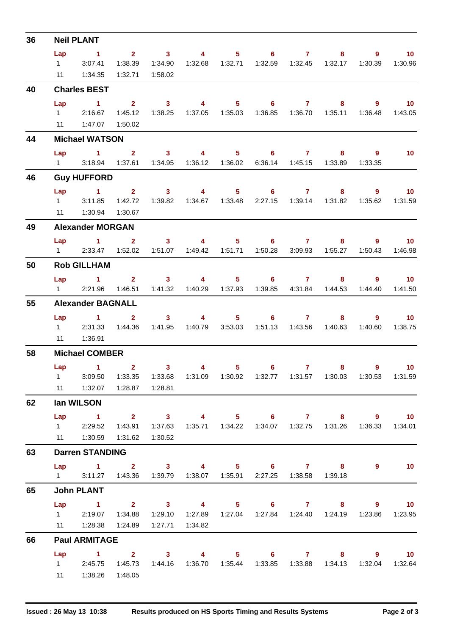| 36 |                        | <b>Neil PLANT</b>                                                 |                           |                                    |                                                                                                                                                                                                                                                                                                                                    |                                                                                                                                                                                                                                                                                                                                    |                                                                                 |                  |                           |                           |                   |
|----|------------------------|-------------------------------------------------------------------|---------------------------|------------------------------------|------------------------------------------------------------------------------------------------------------------------------------------------------------------------------------------------------------------------------------------------------------------------------------------------------------------------------------|------------------------------------------------------------------------------------------------------------------------------------------------------------------------------------------------------------------------------------------------------------------------------------------------------------------------------------|---------------------------------------------------------------------------------|------------------|---------------------------|---------------------------|-------------------|
|    | Lap                    | $\sim$ 1                                                          |                           | 2 3                                | $\sim$ 4                                                                                                                                                                                                                                                                                                                           |                                                                                                                                                                                                                                                                                                                                    | $5 \t\t 6 \t\t 7$                                                               |                  | 8                         | 9                         | $\blacksquare$ 10 |
|    | $1 \quad \Box$         | 3:07.41                                                           | 1:38.39                   | 1:34.90                            |                                                                                                                                                                                                                                                                                                                                    |                                                                                                                                                                                                                                                                                                                                    |                                                                                 |                  | 1:32.17                   | 1:30.39                   | 1:30.96           |
|    | 11                     | 1:34.35                                                           | 1:32.71                   | 1:58.02                            |                                                                                                                                                                                                                                                                                                                                    |                                                                                                                                                                                                                                                                                                                                    |                                                                                 |                  |                           |                           |                   |
| 40 |                        | <b>Charles BEST</b>                                               |                           |                                    |                                                                                                                                                                                                                                                                                                                                    |                                                                                                                                                                                                                                                                                                                                    |                                                                                 |                  |                           |                           |                   |
|    | Lap                    | $\sim$ 1                                                          | $2^{\circ}$               | $\sim$ 3                           | $\overline{\mathbf{4}}$                                                                                                                                                                                                                                                                                                            | $5 -$                                                                                                                                                                                                                                                                                                                              | $\overline{\phantom{a}}$ 6                                                      | $\overline{7}$   | 8                         | $\overline{9}$            | $\overline{10}$   |
|    |                        | 1 2:16.67                                                         |                           | 1:45.12  1:38.25  1:37.05  1:35.03 |                                                                                                                                                                                                                                                                                                                                    |                                                                                                                                                                                                                                                                                                                                    |                                                                                 |                  | 1:35.11                   | 1:36.48                   | 1:43.05           |
|    |                        | 11  1:47.07  1:50.02                                              |                           |                                    |                                                                                                                                                                                                                                                                                                                                    |                                                                                                                                                                                                                                                                                                                                    |                                                                                 |                  |                           |                           |                   |
| 44 |                        | <b>Michael WATSON</b>                                             |                           |                                    |                                                                                                                                                                                                                                                                                                                                    |                                                                                                                                                                                                                                                                                                                                    |                                                                                 |                  |                           |                           |                   |
|    | Lap                    | $1 \t2 \t3 \t4$                                                   |                           |                                    |                                                                                                                                                                                                                                                                                                                                    |                                                                                                                                                                                                                                                                                                                                    | $5 \t\t 6 \t\t 7$                                                               |                  | 8                         | 9                         | 10                |
|    | $1 \quad \blacksquare$ |                                                                   | 3:18.94  1:37.61  1:34.95 |                                    |                                                                                                                                                                                                                                                                                                                                    |                                                                                                                                                                                                                                                                                                                                    |                                                                                 | 6:36.14  1:45.15 | 1:33.89                   | 1:33.35                   |                   |
| 46 |                        | <b>Guy HUFFORD</b>                                                |                           |                                    |                                                                                                                                                                                                                                                                                                                                    |                                                                                                                                                                                                                                                                                                                                    |                                                                                 |                  |                           |                           |                   |
|    | Lap                    | $\sim$ $\sim$ $\sim$ $\sim$ $\sim$ $\sim$                         |                           | $2 \t 3$                           | $\overline{4}$ and $\overline{4}$ and $\overline{4}$ and $\overline{4}$ and $\overline{4}$ and $\overline{4}$ and $\overline{4}$ and $\overline{4}$ and $\overline{4}$ and $\overline{4}$ and $\overline{4}$ and $\overline{4}$ and $\overline{4}$ and $\overline{4}$ and $\overline{4}$ and $\overline{4}$ and $\overline{4}$ and |                                                                                                                                                                                                                                                                                                                                    | $5 \t\t 6 \t\t 7$                                                               |                  |                           | $\overline{9}$<br>$8 - 1$ | $\sim$ 10         |
|    | $1 \quad \Box$         | 3:11.85                                                           | 1:42.72                   | 1:39.82                            |                                                                                                                                                                                                                                                                                                                                    | 1:34.67  1:33.48                                                                                                                                                                                                                                                                                                                   |                                                                                 |                  | 2:27.15  1:39.14  1:31.82 | 1:35.62                   | 1:31.59           |
|    | 11                     | 1:30.94                                                           | 1:30.67                   |                                    |                                                                                                                                                                                                                                                                                                                                    |                                                                                                                                                                                                                                                                                                                                    |                                                                                 |                  |                           |                           |                   |
| 49 |                        | <b>Alexander MORGAN</b>                                           |                           |                                    |                                                                                                                                                                                                                                                                                                                                    |                                                                                                                                                                                                                                                                                                                                    |                                                                                 |                  |                           |                           |                   |
|    | Lap                    | $\sim$ 1                                                          | $\mathbf{2}$              | $\overline{\mathbf{3}}$            | $\sim$ 4 $\sim$ 100 $\sim$ 100 $\sim$ 100 $\sim$ 100 $\sim$ 100 $\sim$ 100 $\sim$ 100 $\sim$ 100 $\sim$ 100 $\sim$ 100 $\sim$ 100 $\sim$ 100 $\sim$ 100 $\sim$ 100 $\sim$ 100 $\sim$ 100 $\sim$ 100 $\sim$ 100 $\sim$ 100 $\sim$ 100 $\sim$ 100 $\sim$ 100 $\sim$ 100 $\sim$ 10                                                    |                                                                                                                                                                                                                                                                                                                                    | $5 \t\t 6 \t\t 7$                                                               |                  |                           | $8 - 1$                   | $9 \t 10$         |
|    |                        | 1 2:33.47 1:52.02 1:51.07 1:49.42 1:51.71 1:50.28 3:09.93 1:55.27 |                           |                                    |                                                                                                                                                                                                                                                                                                                                    |                                                                                                                                                                                                                                                                                                                                    |                                                                                 |                  |                           | 1:50.43                   | 1:46.98           |
| 50 |                        | <b>Rob GILLHAM</b>                                                |                           |                                    |                                                                                                                                                                                                                                                                                                                                    |                                                                                                                                                                                                                                                                                                                                    |                                                                                 |                  |                           |                           |                   |
|    |                        | Lap 1 2 3 4 5 6 7 8                                               |                           |                                    |                                                                                                                                                                                                                                                                                                                                    |                                                                                                                                                                                                                                                                                                                                    |                                                                                 |                  |                           | 9                         | $\blacksquare$ 10 |
|    |                        | 1 2:21.96                                                         | 1:46.51                   | 1:41.32                            |                                                                                                                                                                                                                                                                                                                                    |                                                                                                                                                                                                                                                                                                                                    |                                                                                 |                  | 1:44.53                   | 1:44.40                   | 1:41.50           |
| 55 |                        | <b>Alexander BAGNALL</b>                                          |                           |                                    |                                                                                                                                                                                                                                                                                                                                    |                                                                                                                                                                                                                                                                                                                                    |                                                                                 |                  |                           |                           |                   |
|    | Lap                    | $\sim$ 1                                                          | $\mathbf{2}$              | 3 <sup>1</sup>                     |                                                                                                                                                                                                                                                                                                                                    | $\overline{4}$ and $\overline{4}$ and $\overline{4}$ and $\overline{4}$ and $\overline{4}$ and $\overline{4}$ and $\overline{4}$ and $\overline{4}$ and $\overline{4}$ and $\overline{4}$ and $\overline{4}$ and $\overline{4}$ and $\overline{4}$ and $\overline{4}$ and $\overline{4}$ and $\overline{4}$ and $\overline{4}$ and | $5 \t\t 6 \t\t 7$                                                               |                  | 8                         | 9                         | $\overline{10}$   |
|    |                        | 12:31.33                                                          | 1:44.36                   | 1:41.95                            |                                                                                                                                                                                                                                                                                                                                    |                                                                                                                                                                                                                                                                                                                                    | 1:40.79  3:53.03  1:51.13  1:43.56  1:40.63                                     |                  |                           | 1:40.60                   | 1:38.75           |
|    | 11                     | 1:36.91                                                           |                           |                                    |                                                                                                                                                                                                                                                                                                                                    |                                                                                                                                                                                                                                                                                                                                    |                                                                                 |                  |                           |                           |                   |
| 58 |                        | <b>Michael COMBER</b>                                             |                           |                                    |                                                                                                                                                                                                                                                                                                                                    |                                                                                                                                                                                                                                                                                                                                    |                                                                                 |                  |                           |                           |                   |
|    |                        | Lap $1$ 2                                                         |                           | 3 <sup>1</sup>                     | 4                                                                                                                                                                                                                                                                                                                                  | $5 -$                                                                                                                                                                                                                                                                                                                              | 6                                                                               | $7 -$            | 8                         | $9^{\circ}$               | 10                |
|    | $1 \quad$              | 3:09.50                                                           |                           |                                    |                                                                                                                                                                                                                                                                                                                                    |                                                                                                                                                                                                                                                                                                                                    | 1:33.35  1:33.68  1:31.09  1:30.92  1:32.77  1:31.57  1:30.03  1:30.53  1:31.59 |                  |                           |                           |                   |
|    |                        | 11   1:32.07                                                      |                           | 1:28.87  1:28.81                   |                                                                                                                                                                                                                                                                                                                                    |                                                                                                                                                                                                                                                                                                                                    |                                                                                 |                  |                           |                           |                   |
| 62 |                        | lan WILSON                                                        |                           |                                    |                                                                                                                                                                                                                                                                                                                                    |                                                                                                                                                                                                                                                                                                                                    |                                                                                 |                  |                           |                           |                   |
|    | Lap                    | $\sim$ 1                                                          | $2 \t 3$                  |                                    |                                                                                                                                                                                                                                                                                                                                    |                                                                                                                                                                                                                                                                                                                                    | 4 5 6 7 8 9 10                                                                  |                  |                           |                           |                   |
|    |                        | 1 2:29.52                                                         |                           |                                    |                                                                                                                                                                                                                                                                                                                                    |                                                                                                                                                                                                                                                                                                                                    | 1:43.91  1:37.63  1:35.71  1:34.22  1:34.07  1:32.75  1:31.26  1:36.33  1:34.01 |                  |                           |                           |                   |
|    |                        | 11   1:30.59   1:31.62                                            |                           | 1:30.52                            |                                                                                                                                                                                                                                                                                                                                    |                                                                                                                                                                                                                                                                                                                                    |                                                                                 |                  |                           |                           |                   |
| 63 |                        | <b>Darren STANDING</b>                                            |                           |                                    |                                                                                                                                                                                                                                                                                                                                    |                                                                                                                                                                                                                                                                                                                                    |                                                                                 |                  |                           |                           |                   |
|    |                        | Lap 1 2 3 4 5 6 7 8                                               |                           |                                    |                                                                                                                                                                                                                                                                                                                                    |                                                                                                                                                                                                                                                                                                                                    |                                                                                 |                  |                           | 9                         | $\blacksquare$ 10 |
|    |                        | 1 3:11.27 1:43.36 1:39.79 1:38.07 1:35.91                         |                           |                                    |                                                                                                                                                                                                                                                                                                                                    |                                                                                                                                                                                                                                                                                                                                    |                                                                                 |                  | 1:39.18                   |                           |                   |
| 65 |                        | <b>John PLANT</b>                                                 |                           |                                    |                                                                                                                                                                                                                                                                                                                                    |                                                                                                                                                                                                                                                                                                                                    |                                                                                 |                  |                           |                           |                   |
|    |                        | Lap 1 2 3 4 5 6 7 8 9 10                                          |                           |                                    |                                                                                                                                                                                                                                                                                                                                    |                                                                                                                                                                                                                                                                                                                                    |                                                                                 |                  |                           |                           |                   |
|    |                        | 1 2:19.07 1:34.88                                                 |                           |                                    |                                                                                                                                                                                                                                                                                                                                    |                                                                                                                                                                                                                                                                                                                                    | 1:29.10  1:27.89  1:27.04  1:27.84  1:24.40  1:24.19  1:23.86  1:23.95          |                  |                           |                           |                   |
|    |                        | 11   1:28.38   1:24.89                                            |                           | 1:27.71                            | 1:34.82                                                                                                                                                                                                                                                                                                                            |                                                                                                                                                                                                                                                                                                                                    |                                                                                 |                  |                           |                           |                   |
| 66 |                        | <b>Paul ARMITAGE</b>                                              |                           |                                    |                                                                                                                                                                                                                                                                                                                                    |                                                                                                                                                                                                                                                                                                                                    |                                                                                 |                  |                           |                           |                   |
|    | Lap                    | 1 2 3 4 5 6 7 8 9 10<br>1 2:45.75 1:45.73                         |                           |                                    |                                                                                                                                                                                                                                                                                                                                    |                                                                                                                                                                                                                                                                                                                                    | 1:44.16  1:36.70  1:35.44  1:33.85  1:33.88  1:34.13  1:32.04  1:32.64          |                  |                           |                           |                   |
|    |                        |                                                                   |                           |                                    |                                                                                                                                                                                                                                                                                                                                    |                                                                                                                                                                                                                                                                                                                                    |                                                                                 |                  |                           |                           |                   |
|    | 11                     | 1:38.26                                                           | 1:48.05                   |                                    |                                                                                                                                                                                                                                                                                                                                    |                                                                                                                                                                                                                                                                                                                                    |                                                                                 |                  |                           |                           |                   |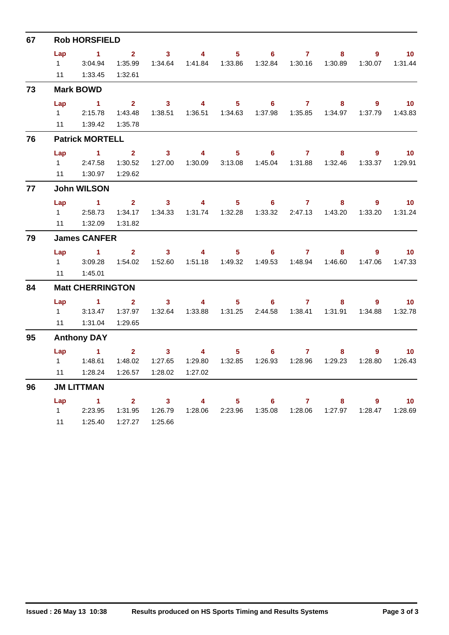| 67 |           | <b>Rob HORSFIELD</b>    |                |                         |                         |                |                |                |         |             |                 |
|----|-----------|-------------------------|----------------|-------------------------|-------------------------|----------------|----------------|----------------|---------|-------------|-----------------|
|    | Lap       | $\mathbf{1}$            | 2 <sup>7</sup> | 3 <sup>1</sup>          | $\overline{4}$          | 5 <sup>1</sup> | 6 <sup>1</sup> | $\mathbf{7}$   | 8       | 9           | 10 <sub>1</sub> |
|    | $1 \quad$ | 3:04.94                 | 1:35.99        | 1:34.64                 | 1:41.84  1:33.86        |                | 1:32.84        | 1:30.16        | 1:30.89 | 1:30.07     | 1:31.44         |
|    | 11        | 1:33.45                 | 1:32.61        |                         |                         |                |                |                |         |             |                 |
| 73 |           | <b>Mark BOWD</b>        |                |                         |                         |                |                |                |         |             |                 |
|    | Lap       | $\sim$ 1                | 2 <sup>1</sup> | 3 <sup>1</sup>          | $\overline{\mathbf{4}}$ | 5 <sub>5</sub> | 6 <sup>1</sup> | $\mathbf{7}$   | 8       | $9^{\circ}$ | 10              |
|    | $1 \quad$ | 2:15.78                 | 1:43.48        | 1:38.51                 | 1:36.51                 | 1:34.63        | 1:37.98        | 1:35.85        | 1:34.97 | 1:37.79     | 1:43.83         |
|    | 11        | 1:39.42                 | 1:35.78        |                         |                         |                |                |                |         |             |                 |
| 76 |           | <b>Patrick MORTELL</b>  |                |                         |                         |                |                |                |         |             |                 |
|    | Lap       | $\sim$ 1                | $\mathbf{2}$   | $\mathbf{3}$            | 4                       | 5 <sup>1</sup> | 6              | $\overline{7}$ | 8       | 9           | 10 <sup>°</sup> |
|    | $1 \quad$ | 2:47.58                 | 1:30.52        | 1:27.00                 | 1:30.09                 | 3:13.08        | 1:45.04        | 1:31.88        | 1:32.46 | 1:33.37     | 1:29.91         |
|    | 11        | 1:30.97                 | 1:29.62        |                         |                         |                |                |                |         |             |                 |
| 77 |           | <b>John WILSON</b>      |                |                         |                         |                |                |                |         |             |                 |
|    | Lap       | $\sim$ 1                | $\overline{2}$ | 3 <sup>7</sup>          | $\overline{4}$          | 5 <sup>1</sup> | 6              | $\mathbf{7}$   | 8       | 9           | 10 <sup>°</sup> |
|    | $1 \quad$ | 2:58.73                 | 1:34.17        | 1:34.33                 |                         |                | 1:33.32        | 2:47.13        | 1:43.20 | 1:33.20     | 1:31.24         |
|    | 11        | 1:32.09                 | 1:31.82        |                         |                         |                |                |                |         |             |                 |
| 79 |           | <b>James CANFER</b>     |                |                         |                         |                |                |                |         |             |                 |
|    | Lap       | $\blacktriangleleft$    | $\overline{2}$ | 3 <sup>1</sup>          | $\overline{\mathbf{4}}$ | 5 <sub>1</sub> | $6^{\circ}$    | 7 <sup>7</sup> | 8       | 9           | 10 <sub>1</sub> |
|    | $1 \quad$ | 3:09.28                 | 1:54.02        | 1:52.60                 |                         |                | 1:49.53        |                |         | 1:47.06     | 1:47.33         |
|    | 11        | 1:45.01                 |                |                         |                         |                |                |                |         |             |                 |
| 84 |           | <b>Matt CHERRINGTON</b> |                |                         |                         |                |                |                |         |             |                 |
|    | Lap       | $\overline{1}$          | $\overline{2}$ | $\overline{\mathbf{3}}$ | $\overline{\mathbf{4}}$ | 5 <sup>1</sup> | 6 <sup>1</sup> | $\mathbf{7}$   | 8       | 9           | 10 <sub>1</sub> |
|    | $1 \quad$ | 3:13.47                 | 1:37.97        | 1:32.64                 | 1:33.88                 | 1:31.25        | 2:44.58        | 1:38.41        | 1:31.91 | 1:34.88     | 1:32.78         |
|    | 11        | 1:31.04                 | 1:29.65        |                         |                         |                |                |                |         |             |                 |
| 95 |           | <b>Anthony DAY</b>      |                |                         |                         |                |                |                |         |             |                 |
|    | Lap       | $\sim$ 1                | 2 <sup>1</sup> | 3                       | 4                       | 5 <sup>1</sup> | 6              | $\mathbf{7}$   | 8       | 9           | 10 <sub>1</sub> |
|    | $1 \quad$ | 1:48.61                 | 1:48.02        | 1:27.65                 | 1:29.80                 | 1:32.85        | 1:26.93        | 1:28.96        | 1:29.23 | 1:28.80     | 1:26.43         |
|    | 11        | 1:28.24                 | 1:26.57        | 1:28.02                 | 1:27.02                 |                |                |                |         |             |                 |
| 96 |           | <b>JM LITTMAN</b>       |                |                         |                         |                |                |                |         |             |                 |
|    | Lap       | $\sim$ 1                | $\mathbf{2}$   | 3                       | 4                       | 5              | 6              | $\mathbf{7}$   | 8       | 9           | 10 <sup>°</sup> |
|    | $1 \quad$ | 2:23.95                 | 1:31.95        | 1:26.79                 | 1:28.06                 | 2:23.96        | 1:35.08        | 1:28.06        | 1:27.97 | 1:28.47     | 1:28.69         |
|    | 11        | 1:25.40                 | 1:27.27        | 1:25.66                 |                         |                |                |                |         |             |                 |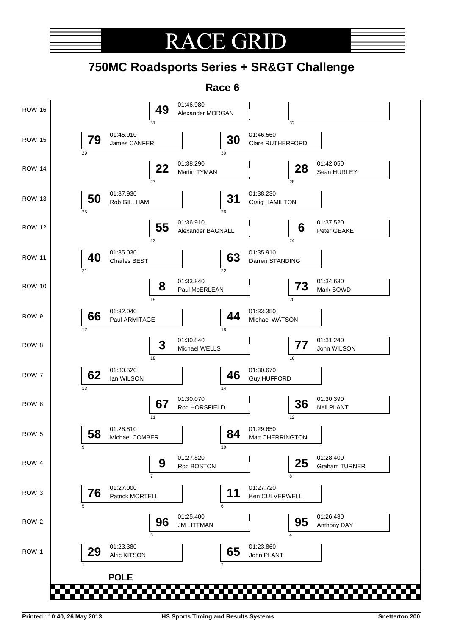

# **RACE GRI**

## **750MC Roadsports Series + SR&GT Challenge**

**Race 6**

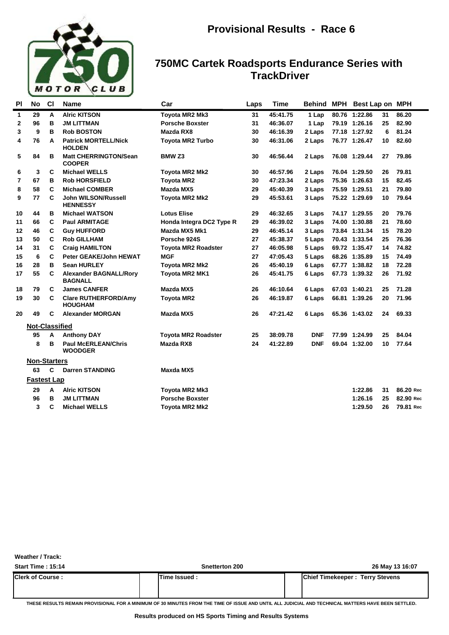

### **750MC Cartek Roadsports Endurance Series with TrackDriver**

| PI           | No                    | <b>CI</b> | <b>Name</b>                                     | Car                        | Laps | <b>Time</b> | Behind MPH | Best Lap on MPH |    |           |
|--------------|-----------------------|-----------|-------------------------------------------------|----------------------------|------|-------------|------------|-----------------|----|-----------|
| $\mathbf{1}$ | 29                    | A         | <b>Alric KITSON</b>                             | Toyota MR2 Mk3             | 31   | 45:41.75    | 1 Lap      | 80.76 1:22.86   | 31 | 86.20     |
| 2            | 96                    | в         | <b>JM LITTMAN</b>                               | <b>Porsche Boxster</b>     | 31   | 46:36.07    | 1 Lap      | 79.19 1:26.16   | 25 | 82.90     |
| 3            | 9                     | в         | <b>Rob BOSTON</b>                               | <b>Mazda RX8</b>           | 30   | 46:16.39    | 2 Laps     | 77.18 1:27.92   | 6  | 81.24     |
| 4            | 76                    | A         | <b>Patrick MORTELL/Nick</b><br><b>HOLDEN</b>    | <b>Toyota MR2 Turbo</b>    | 30   | 46:31.06    | 2 Laps     | 76.77 1:26.47   | 10 | 82.60     |
| 5            | 84                    | в         | <b>Matt CHERRINGTON/Sean</b><br><b>COOPER</b>   | <b>BMW Z3</b>              | 30   | 46:56.44    | 2 Laps     | 76.08 1:29.44   | 27 | 79.86     |
| 6            | 3                     | C         | <b>Michael WELLS</b>                            | Toyota MR2 Mk2             | 30   | 46:57.96    | 2 Laps     | 76.04 1:29.50   | 26 | 79.81     |
| 7            | 67                    | в         | <b>Rob HORSFIELD</b>                            | <b>Toyota MR2</b>          | 30   | 47:23.34    | 2 Laps     | 75.36 1:26.63   | 15 | 82.45     |
| 8            | 58                    | C         | <b>Michael COMBER</b>                           | <b>Mazda MX5</b>           | 29   | 45:40.39    | 3 Laps     | 75.59 1:29.51   | 21 | 79.80     |
| 9            | 77                    | C         | John WILSON/Russell<br><b>HENNESSY</b>          | Toyota MR2 Mk2             | 29   | 45:53.61    | 3 Laps     | 75.22 1:29.69   | 10 | 79.64     |
| 10           | 44                    | в         | <b>Michael WATSON</b>                           | <b>Lotus Elise</b>         | 29   | 46:32.65    | 3 Laps     | 74.17 1:29.55   | 20 | 79.76     |
| 11           | 66                    | C         | <b>Paul ARMITAGE</b>                            | Honda Integra DC2 Type R   | 29   | 46:39.02    | 3 Laps     | 74.00 1:30.88   | 21 | 78.60     |
| 12           | 46                    | C         | <b>Guy HUFFORD</b>                              | Mazda MX5 Mk1              | 29   | 46:45.14    | 3 Laps     | 73.84 1:31.34   | 15 | 78.20     |
| 13           | 50                    | C         | <b>Rob GILLHAM</b>                              | Porsche 924S               | 27   | 45:38.37    | 5 Laps     | 70.43 1:33.54   | 25 | 76.36     |
| 14           | 31                    | C         | <b>Craig HAMILTON</b>                           | <b>Toyota MR2 Roadster</b> | 27   | 46:05.98    | 5 Laps     | 69.72 1:35.47   | 14 | 74.82     |
| 15           | 6                     | C         | Peter GEAKE/John HEWAT                          | <b>MGF</b>                 | 27   | 47:05.43    | 5 Laps     | 68.26 1:35.89   | 15 | 74.49     |
| 16           | 28                    | в         | <b>Sean HURLEY</b>                              | Toyota MR2 Mk2             | 26   | 45:40.19    | 6 Laps     | 67.77 1:38.82   | 18 | 72.28     |
| 17           | 55                    | C         | <b>Alexander BAGNALL/Rory</b><br><b>BAGNALL</b> | Toyota MR2 MK1             | 26   | 45:41.75    | 6 Laps     | 67.73 1:39.32   | 26 | 71.92     |
| 18           | 79                    | C         | <b>James CANFER</b>                             | Mazda MX5                  | 26   | 46:10.64    | 6 Laps     | 67.03 1:40.21   | 25 | 71.28     |
| 19           | 30                    | C         | <b>Clare RUTHERFORD/Amy</b><br><b>HOUGHAM</b>   | <b>Toyota MR2</b>          | 26   | 46:19.87    | 6 Laps     | 66.81 1:39.26   | 20 | 71.96     |
| 20           | 49                    | C         | <b>Alexander MORGAN</b>                         | <b>Mazda MX5</b>           | 26   | 47:21.42    | 6 Laps     | 65.36 1:43.02   | 24 | 69.33     |
|              | <b>Not-Classified</b> |           |                                                 |                            |      |             |            |                 |    |           |
|              | 95                    | A         | <b>Anthony DAY</b>                              | <b>Toyota MR2 Roadster</b> | 25   | 38:09.78    | <b>DNF</b> | 77.99 1:24.99   | 25 | 84.04     |
|              | 8                     | в         | <b>Paul McERLEAN/Chris</b><br>WOODGER           | Mazda RX8                  | 24   | 41:22.89    | <b>DNF</b> | 69.04 1:32.00   | 10 | 77.64     |
|              | <b>Non-Starters</b>   |           |                                                 |                            |      |             |            |                 |    |           |
|              | 63                    | C         | <b>Darren STANDING</b>                          | <b>Maxda MX5</b>           |      |             |            |                 |    |           |
|              | <b>Fastest Lap</b>    |           |                                                 |                            |      |             |            |                 |    |           |
|              | 29                    | A         | <b>Alric KITSON</b>                             | Toyota MR2 Mk3             |      |             |            | 1:22.86         | 31 | 86.20 Rec |
|              | 96                    | B         | <b>JM LITTMAN</b>                               | <b>Porsche Boxster</b>     |      |             |            | 1:26.16         | 25 | 82.90 Rec |
|              | 3                     | C         | <b>Michael WELLS</b>                            | <b>Tovota MR2 Mk2</b>      |      |             |            | 1:29.50         | 26 | 79.81 Rec |

**Weather / Track:** 

| <b>Start Time: 15:14</b> | Snetterton 200 | 26 May 13 16:07                         |
|--------------------------|----------------|-----------------------------------------|
| <b>Clerk of Course :</b> | Time Issued    | <b>IChief Timekeeper: Terry Stevens</b> |
|                          |                |                                         |

**THESE RESULTS REMAIN PROVISIONAL FOR A MINIMUM OF 30 MINUTES FROM THE TIME OF ISSUE AND UNTIL ALL JUDICIAL AND TECHNICAL MATTERS HAVE BEEN SETTLED.**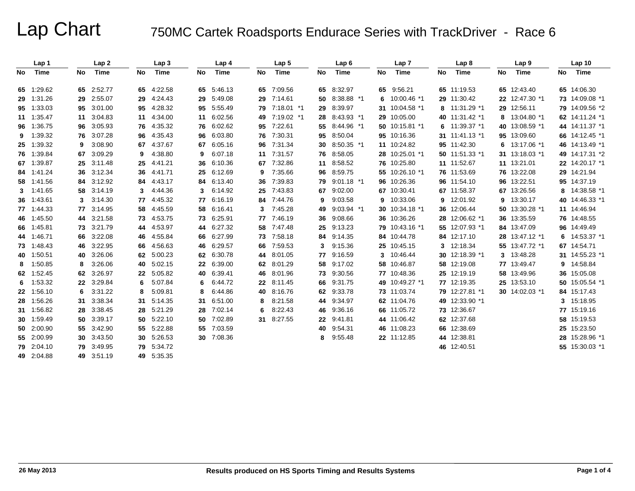|     | Lap 1      |     | Lap <sub>2</sub> |    | Lap <sub>3</sub> |    | Lap 4      |        | Lap <sub>5</sub> |    | Lap <sub>6</sub> |    | Lap <sub>7</sub> |     | Lap <sub>8</sub> |    | Lap <sub>9</sub> |    | Lap <sub>10</sub> |
|-----|------------|-----|------------------|----|------------------|----|------------|--------|------------------|----|------------------|----|------------------|-----|------------------|----|------------------|----|-------------------|
| No. | Time       | No  | Time             | No | Time             | No | Time       | No     | <b>Time</b>      | No | Time             | No | Time             | No  | Time             | No | Time             | No | Time              |
|     | 65 1:29.62 |     | 65 2:52.77       | 65 | 4:22.58          | 65 | 5:46.13    |        | 65 7:09.56       |    | 65 8:32.97       | 65 | 9:56.21          |     | 65 11:19.53      |    | 65 12:43.40      |    | 65 14:06.30       |
|     | 29 1:31.26 |     | 29 2:55.07       | 29 | 4:24.43          | 29 | 5:49.08    | 29     | 7:14.61          | 50 | 8:38.88 *1       | 6  | 10:00.46 *1      |     | 29 11:30.42      |    | 22 12:47.30 *1   |    | 73 14:09.08 *1    |
|     | 95 1:33.03 |     | 95 3:01.00       | 95 | 4:28.32          | 95 | 5:55.49    |        | 79 7:18.01 *1    |    | 29 8:39.97       |    | 31 10:04.58 *1   |     | 8 11:31.29 *1    |    | 29 12:56.11      |    | 79 14:09.56 *2    |
|     | 11 1:35.47 | 11  | 3:04.83          | 11 | 4:34.00          | 11 | 6:02.56    | 49.    | 7:19.02 *1       | 28 | 8:43.93 *1       | 29 | 10:05.00         |     | 40 11:31.42 *1   | 8  | 13:04.80 *1      |    | 62 14:11.24 *1    |
|     | 96 1:36.75 |     | 96 3:05.93       | 76 | 4:35.32          | 76 | 6:02.62    | 95     | 7:22.61          | 55 | 8:44.96 *1       |    | 50 10:15.81 *1   | 6   | 11:39.37 *1      |    | 40 13:08.59 *1   |    | 44 14:11.37 *1    |
| 9   | 1:39.32    |     | 76 3:07.28       | 96 | 4:35.43          | 96 | 6:03.80    |        | 76 7:30.31       | 95 | 8:50.04          |    | 95 10:16.36      |     | 31 11:41.13 *1   |    | 95 13:09.60      |    | 66 14:12.45 *1    |
|     | 25 1:39.32 | 9   | 3:08.90          | 67 | 4:37.67          | 67 | 6:05.16    | 96     | 7:31.34          | 30 | $8:50.35$ *1     |    | 11 10:24.82      |     | 95 11:42.30      | 6  | 13:17.06 *1      |    | 46 14:13.49 *1    |
|     | 76 1:39.84 | 67. | 3:09.29          | 9  | 4:38.80          | 9  | 6:07.18    | 11     | 7:31.57          | 76 | 8:58.05          |    | 28 10:25.01 *1   |     | 50 11:51.33 *1   |    | 31 13:18.03 *1   |    | 49 14:17.31 *2    |
|     | 67 1:39.87 |     | 25 3:11.48       | 25 | 4:41.21          | 36 | 6:10.36    | 67     | 7:32.86          | 11 | 8:58.52          |    | 76 10:25.80      |     | 11 11:52.67      |    | 11 13:21.01      |    | 22 14:20.17 *1    |
|     | 84 1:41.24 |     | 36 3:12.34       | 36 | 4:41.71          | 25 | 6:12.69    | 9      | 7:35.66          |    | 96 8:59.75       |    | 55 10:26.10 *1   |     | 76 11:53.69      |    | 76 13:22.08      |    | 29 14:21.94       |
|     | 58 1:41.56 |     | 84 3:12.92       | 84 | 4:43.17          | 84 | 6:13.40    | 36     | 7:39.83          | 79 | $9:01.18$ *1     |    | 96 10:26.36      |     | 96 11:54.10      |    | 96 13:22.51      |    | 95 14:37.19       |
|     | 3 1:41.65  |     | 58 3:14.19       | 3  | 4:44.36          | 3  | 6:14.92    | 25     | 7:43.83          | 67 | 9:02.00          |    | 67 10:30.41      |     | 67 11:58.37      |    | 67 13:26.56      |    | 8 14:38.58 *1     |
|     | 36 1:43.61 |     | 3.14.30          | 77 | 4:45.32          | 77 | 6:16.19    |        | 84 7:44.76       | 9  | 9:03.58          | 9  | 10:33.06         |     | 9 12:01.92       | 9  | 13:30.17         |    | 40 14:46.33 *1    |
|     | 77 1:44.33 |     | 77 3:14.95       | 58 | 4:45.59          | 58 | 6.16.41    | 3      | 7:45.28          | 49 | 9:03.94 *1       |    | 30 10:34.18 *1   |     | 36 12:06.44      |    | 50 13:30.28 *1   |    | 11 14:46.94       |
|     | 46 1:45.50 |     | 44 3:21.58       | 73 | 4:53.75          | 73 | 6.25.91    | 77     | 7:46.19          | 36 | 9:08.66          |    | 36 10:36.26      | 28. | 12:06.62 *1      |    | 36 13:35.59      |    | 76 14:48.55       |
|     | 66 1:45.81 |     | 73 3:21.79       | 44 | 4:53.97          | 44 | 6:27.32    | 58     | 7:47.48          | 25 | 9:13.23          |    | 79 10:43.16 *1   | 55  | 12:07.93 *1      |    | 84 13:47.09      |    | 96 14:49.49       |
|     | 44 1:46.71 |     | 66 3:22.08       | 46 | 4:55.84          | 66 | 6:27.99    |        | 73 7:58.18       | 84 | 9:14.35          |    | 84 10:44.78      |     | 84 12:17.10      |    | 28 13:47.12 *1   |    | 6 14:53.37 *1     |
|     | 73 1:48.43 |     | 46 3:22.95       | 66 | 4:56.63          | 46 | 6:29.57    | 66     | 7:59.53          | 3  | 9:15.36          |    | 25 10:45.15      | 3   | 12:18.34         |    | 55 13:47.72 *1   |    | 67 14:54.71       |
|     | 40 1:50.51 |     | 40 3:26.06       | 62 | 5:00.23          | 62 | 6:30.78    | 44     | 8:01.05          | 77 | 9:16.59          | 3  | 10:46.44         |     | 30 12:18.39 *1   | 3  | 13:48.28         |    | 31 14:55.23 *1    |
| 8   | 1:50.85    | 8   | 3:26.06          | 40 | 5:02.15          | 22 | 6:39.00    |        | 62 8:01.29       |    | 58 9:17.02       |    | 58 10:46.87      |     | 58 12:19.08      |    | 77 13:49.47      |    | 9 14:58.84        |
|     | 62 1:52.45 |     | 62 3:26.97       | 22 | 5:05.82          | 40 | 6:39.41    |        | 46 8:01.96       | 73 | 9:30.56          |    | 77 10:48.36      |     | 25 12:19.19      |    | 58 13:49.96      |    | 36 15:05.08       |
| 6   | 1:53.32    |     | 22 3:29.84       | 6  | 5:07.84          | 6  | 6:44.72    | $22\,$ | 8:11.45          | 66 | 9:31.75          |    | 49 10:49.27 *1   |     | 77 12:19.35      |    | 25 13:53.10      |    | 50 15:05.54 *1    |
|     | 22 1:56.10 | 6   | 3:31.22          | 8  | 5:09.81          | 8  | 6:44.86    | 40     | 8:16.76          | 62 | 9:33.78          |    | 73 11:03.74      |     | 79 12:27.81 *1   |    | 30 14:02.03 *1   |    | 84 15:17.43       |
|     | 28 1:56.26 |     | 31 3:38.34       | 31 | 5:14.35          | 31 | 6:51.00    | 8      | 8:21.58          | 44 | 9:34.97          |    | 62 11:04.76      |     | 49 12:33.90 *1   |    |                  |    | 3 15:18.95        |
|     | 31 1:56.82 |     | 28 3:38.45       | 28 | 5:21.29          | 28 | 7:02.14    | 6.     | 8:22.43          | 46 | 9:36.16          |    | 66 11:05.72      |     | 73 12:36.67      |    |                  |    | 77 15:19.16       |
|     | 30 1:59.49 |     | 50 3:39.17       | 50 | 5:22.10          | 50 | 7:02.89    |        | 31 8:27.55       |    | 22 9:41.81       |    | 44 11:06.42      |     | 62 12:37.68      |    |                  |    | 58 15:19.53       |
|     | 50 2:00.90 |     | 55 3:42.90       | 55 | 5:22.88          | 55 | 7:03.59    |        |                  | 40 | 9:54.31          |    | 46 11:08.23      |     | 66 12:38.69      |    |                  |    | 25 15:23.50       |
|     | 55 2:00.99 |     | 30 3:43.50       | 30 | 5:26.53          |    | 30 7:08.36 |        |                  | 8  | 9:55.48          |    | 22 11:12.85      |     | 44 12:38.81      |    |                  |    | 28 15:28.96 *1    |
|     | 79 2:04.10 |     | 79 3:49.95       | 79 | 5:34.72          |    |            |        |                  |    |                  |    |                  |     | 46 12:40.51      |    |                  |    | 55 15:30.03 *1    |
|     | 49 2:04.88 |     | 49 3:51.19       |    | 49 5:35.35       |    |            |        |                  |    |                  |    |                  |     |                  |    |                  |    |                   |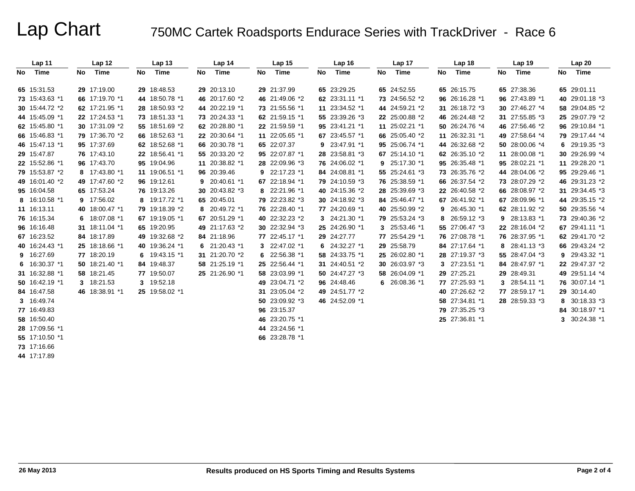|    | Lap 11         |    | Lap 12          |    | Lap <sub>13</sub> |    | Lap 14          |    | Lap <sub>15</sub> | Lap <sub>16</sub> |    | Lap 17         |    | Lap 18         |    | Lap 19            | Lap20          |
|----|----------------|----|-----------------|----|-------------------|----|-----------------|----|-------------------|-------------------|----|----------------|----|----------------|----|-------------------|----------------|
| No | Time           | No | Time            | No | Time              | No | Time            | No | Time              | No Time           | No | Time           | No | Time           | No | Time              | No Time        |
|    | 65 15:31.53    |    | 29 17:19.00     |    | 29 18:48.53       |    | 29 20:13.10     |    | 29 21:37.99       | 65 23:29.25       |    | 65 24:52.55    |    | 65 26:15.75    |    | 65 27:38.36       | 65 29:01.11    |
|    | 73 15:43.63 *1 |    | 66 17:19.70 *1  |    | 44 18:50.78 *1    |    | 46 20:17.60 *2  |    | 46 21:49.06 *2    | 62 23:31.11 *1    |    | 73 24:56.52 *2 |    | 96 26:16.28 *1 |    | 96 27:43.89 *1    | 40 29:01.18 *3 |
|    | 30 15:44.72 *2 |    | 62 17:21.95 *1  |    | 28 18:50.93 *2    |    | 44 20:22.19 *1  |    | 73 21:55.56 *1    | 11 23:34.52 *1    |    | 44 24:59.21 *2 |    | 31 26:18.72 *3 |    | 30 27:46.27 *4    | 58 29:04.85 *2 |
|    | 44 15:45.09 *1 |    | 22 17:24.53 *1  |    | 73 18:51.33 *1    |    | 73 20:24.33 *1  |    | 62 21:59.15 *1    | 55 23:39.26 *3    |    | 22 25:00.88 *2 |    | 46 26:24.48 *2 |    | 31 27:55.85 *3    | 25 29:07.79 *2 |
|    | 62 15:45.80 *1 |    | 30 17:31.09 *2  |    | 55 18:51.69 *2    |    | 62 20:28.80 *1  |    | 22 21:59.59 *1    | 95 23:41.21 *1    |    | 11 25:02.21 *1 |    | 50 26:24.76 *4 |    | 46 27:56.46 *2    | 96 29:10.84 *1 |
|    | 66 15:46.83 *1 |    | 79 17:36.70 *2  |    | 66 18:52.63 *1    |    | 22 20:30.64 *1  |    | 11 22:05.65 *1    | 67 23:45.57 *1    |    | 66 25:05.40 *2 |    | 11 26:32.31 *1 |    | 49 27:58.64 *4    | 79 29:17.44 *4 |
|    | 46 15:47.13 *1 |    | 95 17:37.69     |    | 62 18:52.68 *1    |    | 66 20:30.78 *1  |    | 65 22:07.37       | 9 23:47.91 *1     |    | 95 25:06.74 *1 |    | 44 26:32.68 *2 |    | 50 28:00.06 *4    | 6 29:19.35 *3  |
|    | 29 15:47.87    |    | 76 17:43.10     |    | 22 18:56.41 *1    |    | 55 20:33.20 *2  |    | 95 22:07.87 *1    | 28 23:58.81 *3    |    | 67 25:14.10 *1 |    | 62 26:35.10 *2 |    | 11 28:00.08 *1    | 30 29:26.99 *4 |
|    | 22 15:52.86 *1 |    | 96 17:43.70     |    | 95 19:04.96       |    | 11 20:38.82 *1  |    | 28 22:09.96 *3    | 76 24:06.02 *1    |    | 9 25:17.30 *1  |    | 95 26:35.48 *1 |    | 95 28:02.21 *1    | 11 29:28.20 *1 |
|    | 79 15:53.87 *2 |    | 8 17:43.80 *1   |    | 11 19:06.51 *1    |    | 96 20:39.46     |    | 9 22:17.23 *1     | 84 24:08.81 *1    |    | 55 25:24.61 *3 |    | 73 26:35.76 *2 |    | 44 28:04.06 *2    | 95 29:29.46 *1 |
|    | 49 16:01.40 *2 |    | 49 17:47.60 *2  |    | 96 19:12.61       | 9  | 20:40.61 *1     |    | 67 22:18.94 *1    | 79 24:10.59 *3    |    | 76 25:38.59 *1 |    | 66 26:37.54 *2 |    | 73 28:07.29 *2    | 46 29:31.23 *2 |
|    | 95 16:04.58    |    | 65 17:53.24     |    | 76 19:13.26       |    | 30 20:43.82 *3  |    | 8 22:21.96 *1     | 40 24:15.36 *2    |    | 28 25:39.69 *3 |    | 22 26:40.58 *2 |    | 66 28:08.97 *2    | 31 29:34.45 *3 |
|    | 8 16:10.58 *1  |    | 9 17:56.02      |    | 8 19:17.72 *1     |    | 65 20:45.01     |    | 79 22:23.82 *3    | 30 24:18.92 *3    |    | 84 25:46.47 *1 |    | 67 26:41.92 *1 |    | 67 28:09.96 *1    | 44 29:35.15 *2 |
|    | 11 16:13.11    |    | 40 18:00.47 *1  |    | 79 19:18.39 *2    |    | 8 20:49.72 *1   |    | 76 22:28.40 *1    | 77 24:20.69 *1    |    | 40 25:50.99 *2 |    | 9 26:45.30 *1  |    | 62 28:11.92 *2    | 50 29:35.56 *4 |
|    | 76 16:15.34    |    | 6 $18:07.08$ *1 |    | 67 19:19.05 *1    |    | 67 20:51.29 *1  |    | 40 22:32.23 *2    | 3 24:21.30 *1     |    | 79 25:53.24 *3 |    | 8 26:59.12 *3  |    | $9$ 28:13.83 $*1$ | 73 29:40.36 *2 |
|    | 96 16:16.48    |    | 31 18:11.04 *1  |    | 65 19:20.95       |    | 49 21:17.63 *2  |    | 30 22:32.94 *3    | 25 24:26.90 *1    |    | 3 25:53.46 *1  |    | 55 27:06.47 *3 |    | 22 28:16.04 *2    | 67 29:41.11 *1 |
|    | 67 16:23.52    |    | 84 18:17.89     |    | 49 19:32.68 *2    |    | 84 21:18.96     |    | 77 22:45.17 *1    | 29 24:27.77       |    | 77 25:54.29 *1 |    | 76 27:08.78 *1 |    | 76 28:37.95 *1    | 62 29:41.70 *2 |
|    | 40 16:24.43 *1 |    | 25 18:18.66 *1  |    | 40 19:36.24 *1    |    | 6 $21:20.43$ *1 |    | 3 $22:47.02*1$    | 6 $24:32.27*1$    |    | 29 25:58.79    |    | 84 27:17.64 *1 | 8  | 28:41.13 *3       | 66 29:43.24 *2 |
|    | 9 16:27.69     |    | 77 18:20.19     |    | 6 19:43.15 *1     |    | 31 21:20.70 *2  |    | 6 22:56.38 *1     | 58 24:33.75 *1    |    | 25 26:02.80 *1 |    | 28 27:19.37 *3 |    | 55 28:47.04 *3    | 9 29:43.32 *1  |
|    | 6 16:30.37 *1  |    | 50 18:21.40 *1  |    | 84 19:48.37       |    | 58 21:25.19 *1  |    | 25 22:56.44 *1    | 31 24:40.51 *2    |    | 30 26:03.97 *3 |    | 3 27:23.51 *1  |    | 84 28:47.97 *1    | 22 29:47.37 *2 |
|    | 31 16:32.88 *1 |    | 58 18:21.45     |    | 77 19:50.07       |    | 25 21:26.90 *1  |    | 58 23:03.99 *1    | 50 24:47.27 *3    |    | 58 26:04.09 *1 |    | 29 27:25.21    |    | 29 28:49.31       | 49 29:51.14 *4 |
|    | 50 16:42.19 *1 |    | 3 18:21.53      |    | 3 19:52.18        |    |                 |    | 49 23:04.71 *2    | 96 24:48.46       |    | 6 26:08.36 *1  |    | 77 27:25.93 *1 | 3  | 28:54.11 *1       | 76 30:07.14 *1 |
|    | 84 16:47.58    |    | 46 18:38.91 *1  |    | 25 19:58.02 *1    |    |                 |    | 31 23:05.04 *2    | 49 24:51.77 *2    |    |                |    | 40 27:26.62 *2 |    | 77 28:59.17 *1    | 29 30:14.40    |
|    | 3 16:49.74     |    |                 |    |                   |    |                 |    | 50 23:09.92 *3    | 46 24:52.09 *1    |    |                |    | 58 27:34.81 *1 |    | 28 28:59.33 *3    | 8 30:18.33 *3  |
|    | 77 16:49.83    |    |                 |    |                   |    |                 |    | 96 23:15.37       |                   |    |                |    | 79 27:35.25 *3 |    |                   | 84 30:18.97 *1 |
|    | 58 16:50.40    |    |                 |    |                   |    |                 |    | 46 23:20.75 *1    |                   |    |                |    | 25 27:36.81 *1 |    |                   | 3 30:24.38 *1  |
|    | 28 17:09.56 *1 |    |                 |    |                   |    |                 |    | 44 23:24.56 *1    |                   |    |                |    |                |    |                   |                |
|    | 55 17:10.50 *1 |    |                 |    |                   |    |                 |    | 66 23:28.78 *1    |                   |    |                |    |                |    |                   |                |
|    | 73 17:16.66    |    |                 |    |                   |    |                 |    |                   |                   |    |                |    |                |    |                   |                |
|    | 44 17:17.89    |    |                 |    |                   |    |                 |    |                   |                   |    |                |    |                |    |                   |                |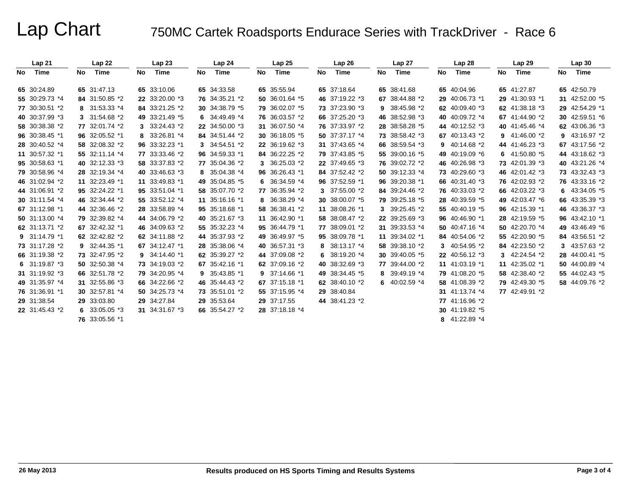|     | Lap 21         |    | Lap22          |    | Lap23          |    | Lap24          |    | Lap25          |    | Lap 26         |    | Lap 27          |    | Lap 28             |    | Lap 29         |    | Lap30          |
|-----|----------------|----|----------------|----|----------------|----|----------------|----|----------------|----|----------------|----|-----------------|----|--------------------|----|----------------|----|----------------|
| No. | Time           | No | Time           | No | Time           | No | Time           | No | Time           | No | Time           | No | Time            | No | Time               | No | Time           | No | Time           |
|     |                |    |                |    |                |    |                |    |                |    |                |    |                 |    |                    |    |                |    |                |
|     | 65 30:24.89    |    | 65 31:47.13    |    | 65 33:10.06    |    | 65 34:33.58    |    | 65 35:55.94    |    | 65 37:18.64    |    | 65 38:41.68     |    | 65 40:04.96        |    | 65 41:27.87    |    | 65 42:50.79    |
|     | 55 30:29.73 *4 |    | 84 31:50.85 *2 |    | 22 33:20.00 *3 |    | 76 34:35.21 *2 |    | 50 36:01.64 *5 |    | 46 37:19.22 *3 |    | 67 38:44.88 *2  |    | 29 40:06.73 *1     |    | 29 41:30.93 *1 |    | 31 42:52.00 *5 |
|     | 77 30:30.51 *2 |    | 8 31:53.33 *4  |    | 84 33:21.25 *2 |    | 30 34:38.79 *5 |    | 79 36:02.07 *5 |    | 73 37:23.90 *3 |    | 9 38:45.98 *2   |    | 62 40:09.40 *3     |    | 62 41:38.18 *3 |    | 29 42:54.29 *1 |
|     | 40 30:37.99 *3 |    | 3 31:54.68 *2  |    | 49 33:21.49 *5 | 6. | 34:49.49 *4    |    | 76 36:03.57 *2 |    | 66 37:25.20 *3 |    | 46 38:52.98 *3  |    | 40 40:09.72 *4     |    | 67 41:44.90 *2 |    | 30 42:59.51 *6 |
|     | 58 30:38.38 *2 |    | 77 32:01.74 *2 |    | 3 33:24.43 *2  |    | 22 34:50.00 *3 |    | 31 36:07.50 *4 |    | 76 37:33.97 *2 |    | 28 38:58.28 *5  |    | 44 40:12.52 *3     |    | 40 41:45.46 *4 |    | 62 43:06.36 *3 |
|     | 96 30:38.45 *1 |    | 96 32:05.52 *1 | 8  | 33:26.81 *4    |    | 84 34:51.44 *2 |    | 30 36:18.05 *5 |    | 50 37:37.17 *4 |    | 73 38:58.42 *3  |    | 67 40:13.43 *2     | 9. | 41:46.00 *2    |    | 9 43:16.97 *2  |
|     | 28 30:40.52 *4 |    | 58 32:08.32 *2 |    | 96 33:32.23 *1 | 3. | 34:54.51 *2    |    | 22 36:19.62 *3 |    | 31 37:43.65 *4 |    | 66 38:59.54 *3  |    | $9 \t40:14.68 \t2$ |    | 44 41:46.23 *3 |    | 67 43:17.56 *2 |
|     | 11 30:57.32 *1 |    | 55 32:11.14 *4 |    | 77 33:33.46 *2 |    | 96 34:59.33 *1 |    | 84 36:22.25 *2 |    | 79 37:43.85 *5 |    | 55 39:00.16 *5  |    | 49 40:19.09 *6     | 6. | 41:50.80 *5    |    | 44 43:18.62 *3 |
|     | 95 30:58.63 *1 |    | 40 32:12.33 *3 |    | 58 33:37.83 *2 |    | 77 35:04.36 *2 |    | 3 36:25.03 *2  |    | 22 37:49.65 *3 |    | 76 39:02.72 *2  |    | 46 40:26.98 *3     |    | 73 42:01.39 *3 |    | 40 43:21.26 *4 |
|     | 79 30:58.96 *4 |    | 28 32:19.34 *4 |    | 40 33:46.63 *3 | 8. | 35:04.38 *4    |    | 96 36:26.43 *1 |    | 84 37:52.42 *2 |    | 50 39:12.33 *4  |    | 73 40:29.60 *3     |    | 46 42:01.42 *3 |    | 73 43:32.43 *3 |
|     | 46 31:02.94 *2 |    | 11 32:23.49 *1 |    | 11 33:49.83 *1 |    | 49 35:04.85 *5 |    | 6 $36:34.59*4$ |    | 96 37:52.59 *1 |    | 96 39:20.38 *1  |    | 66 40:31.40 *3     |    | 76 42:02.93 *2 |    | 76 43:33.16 *2 |
|     | 44 31:06.91 *2 |    | 95 32:24.22 *1 |    | 95 33:51.04 *1 |    | 58 35:07.70 *2 |    | 77 36:35.94 *2 |    | 3 37:55.00 *2  |    | 84 39:24.46 *2  |    | 76 40:33.03 *2     |    | 66 42:03.22 *3 |    | 6 $43:34.05*5$ |
|     | 30 31:11.54 *4 |    | 46 32:34.44 *2 |    | 55 33:52.12 *4 |    | 11 35:16.16 *1 |    | 8 36:38.29 *4  |    | 30 38:00.07 *5 |    | 79 39:25.18 *5  |    | 28 40:39.59 *5     |    | 49 42:03.47 *6 |    | 66 43:35.39 *3 |
|     | 67 31:12.98 *1 |    | 44 32:36.46 *2 |    | 28 33:58.89 *4 |    | 95 35:18.68 *1 |    | 58 36:38.41 *2 |    | 11 38:08.26 *1 |    | 3 39:25.45 *2   |    | 55 40:40.19 *5     |    | 96 42:15.39 *1 |    | 46 43:36.37 *3 |
|     | 50 31:13.00 *4 |    | 79 32:39.82 *4 |    | 44 34:06.79 *2 |    | 40 35:21.67 *3 |    | 11 36:42.90 *1 |    | 58 38:08.47 *2 |    | 22 39:25.69 *3  |    | 96 40:46.90 *1     |    | 28 42:19.59 *5 |    | 96 43:42.10 *1 |
|     | 62 31:13.71 *2 |    | 67 32:42.32 *1 |    | 46 34:09.63 *2 |    | 55 35:32.23 *4 |    | 95 36:44.79 *1 |    | 77 38:09.01 *2 |    | 31 39:33.53 *4  |    | 50 40:47.16 *4     |    | 50 42:20.70 *4 |    | 49 43:46.49 *6 |
|     | 9 31:14.79 *1  |    | 62 32:42.82 *2 |    | 62 34:11.88 *2 |    | 44 35:37.93 *2 |    | 49 36:49.97 *5 |    | 95 38:09.78 *1 |    | 11 39:34.02 *1  |    | 84 40:54.06 *2     |    | 55 42:20.90 *5 |    | 84 43:56.51 *2 |
|     | 73 31:17.28 *2 |    | 9 32:44.35 *1  |    | 67 34:12.47 *1 |    | 28 35:38.06 *4 |    | 40 36:57.31 *3 |    | 8 38:13.17 *4  |    | 58 39:38.10 *2  |    | 3 40:54.95 *2      |    | 84 42:23.50 *2 |    | 3 43:57.63 *2  |
|     | 66 31:19.38 *2 |    | 73 32:47.95 *2 |    | 9 34:14.40 *1  |    | 62 35:39.27 *2 |    | 44 37:09.08 *2 |    | 6 38:19.20 *4  |    | 30 39:40.05 *5  |    | 22 40:56.12 *3     | 3  | 42:24.54 *2    |    | 28 44:00.41 *5 |
|     | 6 $31:19.87*3$ |    | 50 32:50.38 *4 |    | 73 34:19.03 *2 |    | 67 35:42.16 *1 |    | 62 37:09.16 *2 |    | 40 38:32.69 *3 |    | 77 39:44.00 *2  |    | 11 41:03.19 *1     |    | 11 42:35.02 *1 |    | 50 44:00.89 *4 |
|     | 31 31:19.92 *3 |    | 66 32:51.78 *2 |    | 79 34:20.95 *4 | 9  | 35:43.85 *1    |    | 9 37:14.66 *1  |    | 49 38:34.45 *5 |    | 8 39:49.19 *4   |    | 79 41:08.20 *5     |    | 58 42:38.40 *2 |    | 55 44:02.43 *5 |
|     | 49 31:35.97 *4 |    | 31 32:55.86 *3 |    | 66 34:22.66 *2 |    | 46 35:44.43 *2 |    | 67 37:15.18 *1 |    | 62 38:40.10 *2 |    | 6 $40:02.59$ *4 |    | 58 41:08.39 *2     |    | 79 42:49.30 *5 |    | 58 44:09.76 *2 |
|     | 76 31:36.91 *1 |    | 30 32:57.81 *4 |    | 50 34:25.73 *4 |    | 73 35:51.01 *2 |    | 55 37:15.95 *4 |    | 29 38:40.84    |    |                 |    | 31 41:13.74 *4     |    | 77 42:49.91 *2 |    |                |
|     | 29 31:38.54    |    | 29 33:03.80    |    | 29 34:27.84    |    | 29 35:53.64    |    | 29 37:17.55    |    | 44 38:41.23 *2 |    |                 |    | 77 41:16.96 *2     |    |                |    |                |
|     |                |    |                |    |                |    |                |    |                |    |                |    |                 |    |                    |    |                |    |                |
|     | 22 31:45.43 *2 |    | 6 $33:05.05*3$ |    | 31 34:31.67 *3 |    | 66 35:54.27 *2 |    | 28 37:18.18 *4 |    |                |    |                 |    | 30 41:19.82 *5     |    |                |    |                |
|     |                |    | 76 33:05.56 *1 |    |                |    |                |    |                |    |                |    |                 |    | 8 41:22.89 *4      |    |                |    |                |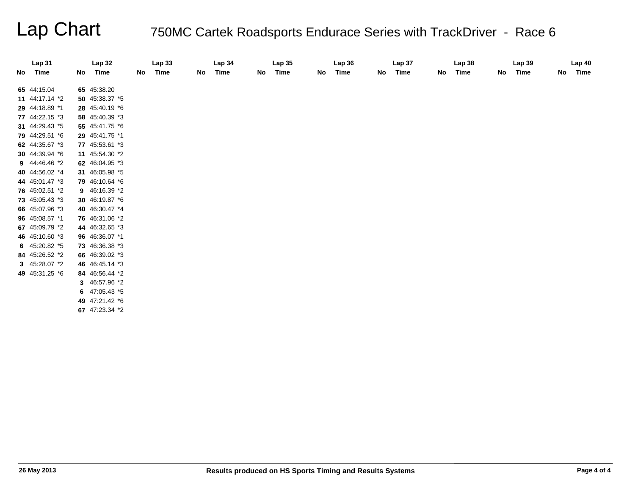| Lap31          |    | Lap32          |    | Lap33 |    | Lap 34 |    | Lap 35 |    | Lap36 |    | Lap <sub>37</sub> |    | Lap 38 |    | Lap39 |    | Lap40 |
|----------------|----|----------------|----|-------|----|--------|----|--------|----|-------|----|-------------------|----|--------|----|-------|----|-------|
| No Time        | No | Time           | No | Time  | No | Time   | No | Time   | No | Time  | No | Time              | No | Time   | No | Time  | No | Time  |
|                |    |                |    |       |    |        |    |        |    |       |    |                   |    |        |    |       |    |       |
| 65 44:15.04    |    | 65 45:38.20    |    |       |    |        |    |        |    |       |    |                   |    |        |    |       |    |       |
| 11 44:17.14 *2 |    | 50 45:38.37 *5 |    |       |    |        |    |        |    |       |    |                   |    |        |    |       |    |       |
| 29 44:18.89 *1 |    | 28 45:40.19 *6 |    |       |    |        |    |        |    |       |    |                   |    |        |    |       |    |       |
| 77 44:22.15 *3 |    | 58 45:40.39 *3 |    |       |    |        |    |        |    |       |    |                   |    |        |    |       |    |       |
| 31 44:29.43 *5 |    | 55 45:41.75 *6 |    |       |    |        |    |        |    |       |    |                   |    |        |    |       |    |       |
| 79 44:29.51 *6 |    | 29 45:41.75 *1 |    |       |    |        |    |        |    |       |    |                   |    |        |    |       |    |       |
| 62 44:35.67 *3 |    | 77 45:53.61 *3 |    |       |    |        |    |        |    |       |    |                   |    |        |    |       |    |       |
| 30 44:39.94 *6 |    | 11 45:54.30 *2 |    |       |    |        |    |        |    |       |    |                   |    |        |    |       |    |       |
| 9 44:46.46 *2  |    | 62 46:04.95 *3 |    |       |    |        |    |        |    |       |    |                   |    |        |    |       |    |       |
| 40 44:56.02 *4 |    | 31 46:05.98 *5 |    |       |    |        |    |        |    |       |    |                   |    |        |    |       |    |       |
| 44 45:01.47 *3 |    | 79 46:10.64 *6 |    |       |    |        |    |        |    |       |    |                   |    |        |    |       |    |       |
| 76 45:02.51 *2 |    | 9 46:16.39 *2  |    |       |    |        |    |        |    |       |    |                   |    |        |    |       |    |       |
| 73 45:05.43 *3 |    | 30 46:19.87 *6 |    |       |    |        |    |        |    |       |    |                   |    |        |    |       |    |       |
| 66 45:07.96 *3 |    | 40 46:30.47 *4 |    |       |    |        |    |        |    |       |    |                   |    |        |    |       |    |       |
| 96 45:08.57 *1 |    | 76 46:31.06 *2 |    |       |    |        |    |        |    |       |    |                   |    |        |    |       |    |       |
| 67 45:09.79 *2 |    | 44 46:32.65 *3 |    |       |    |        |    |        |    |       |    |                   |    |        |    |       |    |       |
| 46 45:10.60 *3 |    | 96 46:36.07 *1 |    |       |    |        |    |        |    |       |    |                   |    |        |    |       |    |       |
| 6 $45:20.82*5$ |    | 73 46:36.38 *3 |    |       |    |        |    |        |    |       |    |                   |    |        |    |       |    |       |
| 84 45:26.52 *2 |    | 66 46:39.02 *3 |    |       |    |        |    |        |    |       |    |                   |    |        |    |       |    |       |
| 3 45:28.07 *2  |    | 46 46:45.14 *3 |    |       |    |        |    |        |    |       |    |                   |    |        |    |       |    |       |
| 49 45:31.25 *6 |    | 84 46:56.44 *2 |    |       |    |        |    |        |    |       |    |                   |    |        |    |       |    |       |
|                |    | 3 46:57.96 *2  |    |       |    |        |    |        |    |       |    |                   |    |        |    |       |    |       |
|                |    | 6 $47:05.43*5$ |    |       |    |        |    |        |    |       |    |                   |    |        |    |       |    |       |
|                |    | 49 47:21.42 *6 |    |       |    |        |    |        |    |       |    |                   |    |        |    |       |    |       |
|                |    | 67 47:23.34 *2 |    |       |    |        |    |        |    |       |    |                   |    |        |    |       |    |       |
|                |    |                |    |       |    |        |    |        |    |       |    |                   |    |        |    |       |    |       |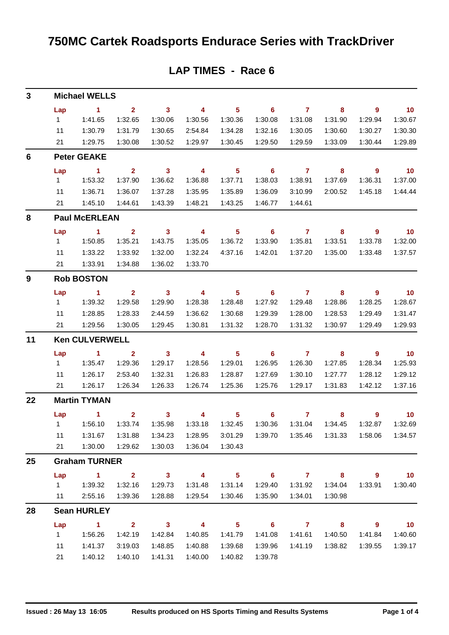## **750MC Cartek Roadsports Endurace Series with TrackDriver**

| 3  |                     | <b>Michael WELLS</b>            |                           |                         |                                     |                                       |                                             |                           |                            |                                     |                                     |
|----|---------------------|---------------------------------|---------------------------|-------------------------|-------------------------------------|---------------------------------------|---------------------------------------------|---------------------------|----------------------------|-------------------------------------|-------------------------------------|
|    |                     |                                 |                           |                         |                                     |                                       |                                             |                           |                            |                                     |                                     |
|    | Lap<br>$\mathbf{1}$ | $\blacksquare$<br>1:41.65       | $\overline{2}$<br>1:32.65 | $\mathbf{3}$<br>1:30.06 | $\overline{\phantom{0}}$<br>1:30.56 | $5\phantom{.0}$<br>1:30.36            | 6<br>1:30.08                                | $\overline{7}$<br>1:31.08 | 8<br>1:31.90               | $\overline{9}$<br>1:29.94           | 10<br>1:30.67                       |
|    | 11                  | 1:30.79                         | 1:31.79                   | 1:30.65                 | 2:54.84                             | 1:34.28                               | 1:32.16                                     | 1:30.05                   | 1:30.60                    | 1:30.27                             | 1:30.30                             |
|    | 21                  | 1:29.75                         | 1:30.08                   | 1:30.52                 | 1:29.97                             | 1:30.45                               | 1:29.50                                     | 1:29.59                   | 1:33.09                    | 1:30.44                             | 1:29.89                             |
| 6  |                     | <b>Peter GEAKE</b>              |                           |                         |                                     |                                       |                                             |                           |                            |                                     |                                     |
|    |                     | $\sim$ 1                        | $\overline{2}$            | $\overline{\mathbf{3}}$ | $\overline{\phantom{a}}$            | $\overline{\phantom{0}}$ 5            | $\overline{\phantom{0}}$ 6                  | $\overline{7}$            | $\overline{\phantom{a}}$ 8 | $\overline{\phantom{a}}$            | $\overline{10}$                     |
|    | Lap<br>1            | 1:53.32                         | 1:37.90                   | 1:36.62                 | 1:36.88                             | 1:37.71                               | 1:38.03                                     | 1:38.91                   | 1:37.69                    | 1:36.31                             | 1:37.00                             |
|    | 11                  | 1:36.71                         | 1:36.07                   | 1:37.28                 | 1:35.95                             | 1:35.89                               | 1:36.09                                     | 3:10.99                   | 2:00.52                    | 1:45.18                             | 1:44.44                             |
|    | 21                  | 1:45.10                         | 1:44.61                   | 1:43.39                 | 1:48.21                             | 1:43.25                               | 1:46.77                                     | 1:44.61                   |                            |                                     |                                     |
| 8  |                     | <b>Paul McERLEAN</b>            |                           |                         |                                     |                                       |                                             |                           |                            |                                     |                                     |
|    | Lap                 | $\sim$ 1                        | $\sim$ 2                  | $\overline{\mathbf{3}}$ | $\overline{\mathbf{4}}$             | 5 <sup>5</sup>                        | $\overline{\phantom{0}}$ 6                  | $\overline{7}$            | $\overline{\phantom{a}}$ 8 | $\overline{\phantom{a}}$            | $\overline{10}$                     |
|    | $1 \quad$           | 1:50.85                         | 1:35.21                   | 1:43.75                 | 1:35.05                             | 1:36.72                               | 1:33.90                                     | 1:35.81                   | 1:33.51                    | 1:33.78                             | 1:32.00                             |
|    | 11                  | 1:33.22                         | 1:33.92                   | 1:32.00                 | 1:32.24                             | 4:37.16                               | 1:42.01                                     | 1:37.20                   | 1:35.00                    | 1:33.48                             | 1:37.57                             |
|    | 21                  | 1:33.91                         | 1:34.88                   | 1:36.02                 | 1:33.70                             |                                       |                                             |                           |                            |                                     |                                     |
| 9  |                     | <b>Rob BOSTON</b>               |                           |                         |                                     |                                       |                                             |                           |                            |                                     |                                     |
|    | Lap                 | $\sim$ 1                        | $\overline{2}$            | $\overline{\mathbf{3}}$ | $\overline{\phantom{0}}$            | 5 <sub>5</sub>                        | $\overline{\phantom{0}}$ 6                  | $\overline{7}$            | 8                          | $\overline{9}$                      | $\overline{10}$                     |
|    | $1 \quad$           | 1:39.32                         | 1:29.58                   | 1:29.90                 | 1:28.38                             | 1:28.48                               | 1:27.92                                     | 1:29.48                   | 1:28.86                    | 1:28.25                             | 1:28.67                             |
|    | 11                  | 1:28.85                         | 1:28.33                   | 2:44.59                 | 1:36.62                             | 1:30.68                               | 1:29.39                                     | 1:28.00                   | 1:28.53                    | 1:29.49                             | 1:31.47                             |
|    | 21                  | 1:29.56                         | 1:30.05                   | 1:29.45                 | 1:30.81                             | 1:31.32                               | 1:28.70                                     | 1:31.32                   | 1:30.97                    | 1:29.49                             | 1:29.93                             |
| 11 |                     | <b>Ken CULVERWELL</b>           |                           |                         |                                     |                                       |                                             |                           |                            |                                     |                                     |
|    | Lap                 | $\sim$ 1                        | $\overline{\mathbf{2}}$   | $\overline{\mathbf{3}}$ | $\overline{\mathbf{4}}$             | $5\phantom{.0}$                       | $\overline{\phantom{0}}$ 6                  | $\overline{7}$            | 8                          | $\overline{9}$                      | 10                                  |
|    | 1                   | 1:35.47                         | 1:29.36                   | 1:29.17                 | 1:28.56                             | 1:29.01                               | 1:26.95                                     | 1:26.30                   | 1:27.85                    | 1:28.34                             | 1:25.93                             |
|    | 11                  | 1:26.17                         | 2:53.40                   | 1:32.31                 | 1:26.83                             | 1:28.87                               | 1:27.69                                     | 1:30.10                   | 1:27.77                    | 1:28.12                             | 1:29.12                             |
|    | 21                  | 1:26.17                         | 1:26.34                   | 1:26.33                 | 1:26.74                             | 1:25.36                               | 1:25.76                                     | 1:29.17                   | 1:31.83                    | 1:42.12                             | 1:37.16                             |
| 22 |                     | <b>Martin TYMAN</b>             |                           |                         |                                     |                                       |                                             |                           |                            |                                     |                                     |
|    | Lap                 | $\sim$ 1                        | $\mathbf{2}$              | $\mathbf{3}$            | 4                                   | 5 <sup>5</sup>                        | 6                                           | $\mathbf{7}$              | 8                          | 9                                   | 10                                  |
|    |                     | 1   1:56.10   1:33.74   1:35.98 |                           |                         |                                     |                                       | 1:33.18  1:32.45  1:30.36  1:31.04  1:34.45 |                           |                            | 1:32.87                             | 1:32.69                             |
|    | 11                  | 1:31.67                         | 1:31.88                   | 1:34.23                 | 1:28.95                             | 3:01.29                               | 1:39.70                                     | 1:35.46                   | 1:31.33                    | 1:58.06                             | 1:34.57                             |
|    | 21                  | 1:30.00                         | 1:29.62                   | 1:30.03                 | 1:36.04                             | 1:30.43                               |                                             |                           |                            |                                     |                                     |
| 25 |                     | <b>Graham TURNER</b>            |                           |                         |                                     |                                       |                                             |                           |                            |                                     |                                     |
|    | $1 \quad$           | Lap 1 2 3 4<br>1:39.32          | 1:32.16                   | 1:29.73                 | 1:31.48                             | $\overline{\phantom{1}}$ 5<br>1:31.14 | 1:29.40                                     | $6$ $7$ $8$<br>1:31.92    | 1:34.04                    | $\overline{\phantom{a}}$<br>1:33.91 | $\overline{\mathbf{10}}$<br>1:30.40 |
|    | 11                  | 2:55.16                         | 1:39.36                   | 1:28.88                 | 1:29.54                             | 1:30.46                               | 1:35.90                                     | 1:34.01                   | 1:30.98                    |                                     |                                     |
| 28 |                     | <b>Sean HURLEY</b>              |                           |                         |                                     |                                       |                                             |                           |                            |                                     |                                     |
|    | Lap                 | $\sim$ $\sim$ 1                 |                           | $2 \t 3$                | $\overline{\mathbf{4}}$             | $\overline{\phantom{0}}$ 5            |                                             | $6 \qquad \qquad 7$       | $\overline{\mathbf{8}}$    | $\overline{\phantom{a}}$            | $\overline{\mathbf{10}}$            |
|    | $1 \quad$           | 1:56.26                         | 1:42.19                   | 1:42.84                 | 1:40.85                             | 1:41.79                               | 1:41.08                                     | 1:41.61                   | 1:40.50                    | 1:41.84                             | 1:40.60                             |
|    | 11                  | 1:41.37                         | 3:19.03                   | 1:48.85                 | 1:40.88                             | 1:39.68                               | 1:39.96                                     | 1:41.19                   | 1:38.82                    | 1:39.55                             | 1:39.17                             |
|    | 21                  | 1:40.12                         | 1:40.10                   | 1:41.31                 | 1:40.00                             | 1:40.82                               | 1:39.78                                     |                           |                            |                                     |                                     |

### **LAP TIMES - Race 6**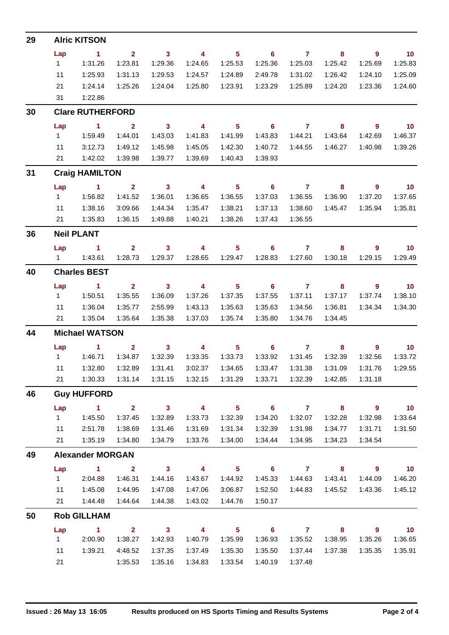| 29 | <b>Alric KITSON</b>     |                      |                         |                            |                          |                            |                            |                |                |                          |                   |  |
|----|-------------------------|----------------------|-------------------------|----------------------------|--------------------------|----------------------------|----------------------------|----------------|----------------|--------------------------|-------------------|--|
|    | Lap                     | $\blacksquare$ 1     | $\overline{2}$          | $\overline{\mathbf{3}}$    | $\overline{4}$           | 5 <sub>5</sub>             | $\overline{\phantom{0}}$ 6 | $\overline{7}$ | 8              | $\overline{\phantom{a}}$ | $\overline{10}$   |  |
|    | $1 \quad$               | 1:31.26              | 1:23.81                 | 1:29.36                    | 1:24.65                  | 1:25.53                    | 1:25.36                    | 1:25.03        | 1:25.42        | 1:25.69                  | 1:25.83           |  |
|    | 11                      | 1:25.93              | 1:31.13                 | 1:29.53                    | 1:24.57                  | 1:24.89                    | 2:49.78                    | 1:31.02        | 1:26.42        | 1:24.10                  | 1:25.09           |  |
|    | 21                      | 1:24.14              | 1:25.26                 | 1:24.04                    | 1:25.80                  | 1:23.91                    | 1:23.29                    | 1:25.89        | 1:24.20        | 1:23.36                  | 1:24.60           |  |
|    | 31                      | 1:22.86              |                         |                            |                          |                            |                            |                |                |                          |                   |  |
| 30 | <b>Clare RUTHERFORD</b> |                      |                         |                            |                          |                            |                            |                |                |                          |                   |  |
|    | Lap                     | $\blacksquare$ 1     | $\mathbf{2}$            | $\overline{\mathbf{3}}$    | $\overline{4}$           | $\overline{\phantom{0}}$ 5 | $6 \overline{7}$           |                | 8              | $\overline{\phantom{a}}$ | $\overline{10}$   |  |
|    | $1 \quad$               | 1:59.49              | 1:44.01                 | 1:43.03                    | 1:41.83                  | 1:41.99                    | 1:43.83                    | 1:44.21        | 1:43.64        | 1:42.69                  | 1:46.37           |  |
|    | 11                      | 3:12.73              | 1:49.12                 | 1:45.98                    | 1:45.05                  | 1:42.30                    | 1:40.72                    | 1:44.55        | 1:46.27        | 1:40.98                  | 1:39.26           |  |
|    | 21                      | 1:42.02              | 1:39.98                 | 1:39.77                    | 1:39.69                  | 1:40.43                    | 1:39.93                    |                |                |                          |                   |  |
| 31 | <b>Craig HAMILTON</b>   |                      |                         |                            |                          |                            |                            |                |                |                          |                   |  |
|    | Lap                     | $\sim$ 1             | $\overline{\mathbf{2}}$ | $\overline{\mathbf{3}}$    | $\overline{\mathbf{4}}$  | 5 <sub>5</sub>             | $\overline{\phantom{0}}$ 6 | $\overline{7}$ | $\bf{8}$       | 9                        | $\overline{10}$   |  |
|    | $1 \quad$               | 1:56.82              | 1:41.52                 | 1:36.01                    | 1:36.65                  | 1:36.55                    | 1:37.03                    | 1:36.55        | 1:36.90        | 1:37.20                  | 1:37.65           |  |
|    | 11                      | 1:38.16              | 3:09.66                 | 1:44.34                    | 1:35.47                  | 1:38.21                    | 1:37.13                    | 1:38.60        | 1:45.47        | 1:35.94                  | 1:35.81           |  |
|    | 21                      | 1:35.83              | 1:36.15                 | 1:49.88                    | 1:40.21                  | 1:38.26                    | 1:37.43                    | 1:36.55        |                |                          |                   |  |
| 36 | <b>Neil PLANT</b>       |                      |                         |                            |                          |                            |                            |                |                |                          |                   |  |
|    | Lap                     | $\sim$ 1             | $2^{\circ}$             | 3 <sup>7</sup>             | $\overline{4}$           | 5 <sup>1</sup>             | 6                          | $\mathbf{7}$   | 8              | 9                        | $-10$             |  |
|    |                         |                      |                         | 1:28.73  1:29.37           | 1:28.65                  | 1:29.47                    | 1:28.83                    | 1:27.60        | 1:30.18        | 1:29.15                  | 1:29.49           |  |
| 40 | <b>Charles BEST</b>     |                      |                         |                            |                          |                            |                            |                |                |                          |                   |  |
|    | Lap                     | $\sim$ 1             | 2 <sup>7</sup>          | $\overline{\mathbf{3}}$    | $\overline{\phantom{a}}$ | 5 <sup>1</sup>             | $\overline{\phantom{0}}$ 6 | $\overline{7}$ | 8              | $\overline{9}$           | $\overline{10}$   |  |
|    | $1 \quad$               | 1:50.51              | 1:35.55                 | 1:36.09                    | 1:37.26                  | 1:37.35                    | 1:37.55                    | 1:37.11        | 1:37.17        | 1:37.74                  | 1:38.10           |  |
|    | 11                      | 1:36.04              | 1:35.77                 | 2:55.99                    | 1:43.13                  | 1:35.63                    | 1:35.63                    | 1:34.56        | 1:36.81        | 1:34.34                  | 1:34.30           |  |
|    | 21                      | 1:35.04              | 1:35.64                 | 1:35.38                    | 1:37.03                  | 1:35.74                    | 1:35.80                    | 1:34.76        | 1:34.45        |                          |                   |  |
| 44 | <b>Michael WATSON</b>   |                      |                         |                            |                          |                            |                            |                |                |                          |                   |  |
|    | Lap                     | $\blacktriangleleft$ | $\overline{2}$          | 3 <sup>1</sup>             | $\overline{4}$           | 5 <sub>1</sub>             | 6                          | $\overline{7}$ | 8              | $\overline{9}$           | 10 <sub>1</sub>   |  |
|    | $1 \quad$               | 1:46.71              | 1:34.87                 | 1:32.39                    | 1:33.35                  | 1:33.73                    | 1:33.92                    | 1:31.45        | 1:32.39        | 1:32.56                  | 1:33.72           |  |
|    | 11                      | 1:32.80              | 1:32.89                 | 1:31.41                    | 3:02.37                  | 1:34.65                    | 1:33.47                    | 1:31.38        | 1:31.09        | 1:31.76                  | 1:29.55           |  |
|    | 21                      | 1:30.33              |                         | 1:31.14  1:31.15           | 1:32.15                  | 1:31.29                    | 1:33.71                    | 1:32.39        | 1:42.85        | 1:31.18                  |                   |  |
| 46 | <b>Guy HUFFORD</b>      |                      |                         |                            |                          |                            |                            |                |                |                          |                   |  |
|    | Lap                     | $\blacktriangleleft$ | 2 <sup>7</sup>          | $\overline{\phantom{a}}$ 3 | $\overline{4}$           | 5 <sup>1</sup>             | $\overline{\phantom{0}}$ 6 | $\overline{7}$ | 8              | 9                        | 10                |  |
|    | $1 \quad$               | 1:45.50              | 1:37.45                 | 1:32.89                    | 1:33.73                  | 1:32.39                    | 1:34.20                    | 1:32.07        | 1:32.28        | 1:32.98                  | 1:33.64           |  |
|    | 11                      | 2:51.78              | 1:38.69                 | 1:31.46                    | 1:31.69                  | 1:31.34                    | 1:32.39                    | 1:31.98        | 1:34.77        | 1:31.71                  | 1:31.50           |  |
|    | 21                      | 1:35.19              | 1:34.80                 | 1:34.79                    | 1:33.76                  | 1:34.00                    | 1:34.44                    | 1:34.95        | 1:34.23        | 1:34.54                  |                   |  |
| 49 | <b>Alexander MORGAN</b> |                      |                         |                            |                          |                            |                            |                |                |                          |                   |  |
|    | Lap                     | $\blacktriangleleft$ | $\overline{2}$          | $\overline{\mathbf{3}}$    | $\overline{\mathbf{4}}$  | 5 <sub>5</sub>             | $\overline{\phantom{0}}$ 6 | $\overline{7}$ | 8 <sup>°</sup> | 9                        | 10                |  |
|    | 1                       | 2:04.88              | 1:46.31                 | 1:44.16                    | 1:43.67                  | 1:44.92                    | 1:45.33                    | 1:44.63        | 1:43.41        | 1:44.09                  | 1:46.20           |  |
|    | 11                      | 1:45.08              | 1:44.95                 | 1:47.08                    | 1:47.06                  | 3:06.87                    | 1:52.50                    | 1:44.83        | 1:45.52        | 1:43.36                  | 1:45.12           |  |
|    | 21                      | 1:44.48              | 1:44.64                 | 1:44.38                    | 1:43.02                  | 1:44.76                    | 1:50.17                    |                |                |                          |                   |  |
| 50 |                         | <b>Rob GILLHAM</b>   |                         |                            |                          |                            |                            |                |                |                          |                   |  |
|    | Lap                     | $\mathbf{1}$         | $\mathbf{2}$            | $\overline{\mathbf{3}}$    | $\overline{4}$           | 5 <sup>1</sup>             | $\overline{\phantom{0}}$ 6 | $\overline{7}$ | 8              | $\overline{\phantom{a}}$ | $\blacksquare$ 10 |  |
|    | 1                       | 2:00.90              | 1:38.27                 | 1:42.93                    | 1:40.79                  | 1:35.99                    | 1:36.93                    | 1:35.52        | 1:38.95        | 1:35.26                  | 1:36.65           |  |
|    | 11                      | 1:39.21              | 4:48.52                 | 1:37.35                    | 1:37.49                  | 1:35.30                    | 1:35.50                    | 1:37.44        | 1:37.38        | 1:35.35                  | 1:35.91           |  |
|    | 21                      |                      | 1:35.53                 | 1:35.16                    | 1:34.83                  | 1:33.54                    | 1:40.19                    | 1:37.48        |                |                          |                   |  |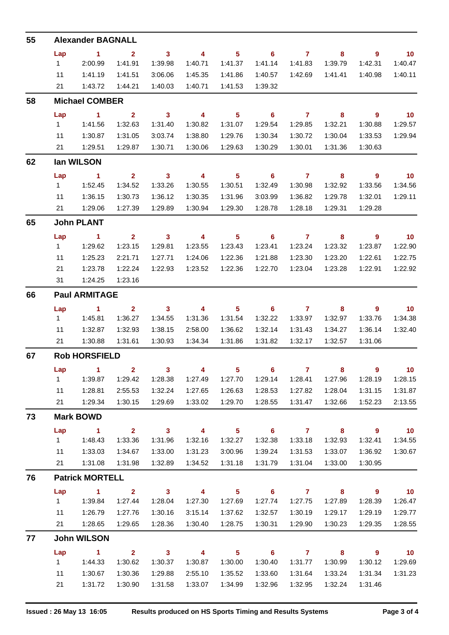| 55 | <b>Alexander BAGNALL</b> |                      |                         |                            |                          |                            |                            |                |                            |                          |                          |
|----|--------------------------|----------------------|-------------------------|----------------------------|--------------------------|----------------------------|----------------------------|----------------|----------------------------|--------------------------|--------------------------|
|    | Lap                      | $\blacktriangleleft$ | $\overline{2}$          | $\mathbf{3}$               | $\overline{\mathbf{4}}$  | $\overline{\phantom{0}}$ 5 | $\overline{\phantom{0}}$ 6 | $\overline{7}$ | 8                          | $\overline{9}$           | $\overline{10}$          |
|    | 1                        | 2:00.99              | 1:41.91                 | 1:39.98                    | 1:40.71                  | 1:41.37                    | 1:41.14                    | 1:41.83        | 1:39.79                    | 1:42.31                  | 1:40.47                  |
|    | 11                       | 1:41.19              | 1:41.51                 | 3:06.06                    | 1:45.35                  | 1:41.86                    | 1:40.57                    | 1:42.69        | 1:41.41                    | 1:40.98                  | 1:40.11                  |
|    | 21                       | 1:43.72              | 1:44.21                 | 1:40.03                    | 1:40.71                  | 1:41.53                    | 1:39.32                    |                |                            |                          |                          |
| 58 | <b>Michael COMBER</b>    |                      |                         |                            |                          |                            |                            |                |                            |                          |                          |
|    | Lap                      | $\sim$ 1             | $\overline{\mathbf{2}}$ | $\overline{\mathbf{3}}$    | $\overline{\mathbf{4}}$  | $\overline{\phantom{0}}$ 5 | $\overline{\phantom{0}}$ 6 | $\overline{7}$ | $\overline{\phantom{0}}$ 8 | $\overline{\phantom{a}}$ | $\overline{10}$          |
|    | $1 \quad$                | 1:41.56              | 1:32.63                 | 1:31.40                    | 1:30.82                  | 1:31.07                    | 1:29.54                    | 1:29.85        | 1:32.21                    | 1:30.88                  | 1:29.57                  |
|    | 11                       | 1:30.87              | 1:31.05                 | 3:03.74                    | 1:38.80                  | 1:29.76                    | 1:30.34                    | 1:30.72        | 1:30.04                    | 1:33.53                  | 1:29.94                  |
|    | 21                       | 1:29.51              | 1:29.87                 | 1:30.71                    | 1:30.06                  | 1:29.63                    | 1:30.29                    | 1:30.01        | 1:31.36                    | 1:30.63                  |                          |
| 62 | lan WILSON               |                      |                         |                            |                          |                            |                            |                |                            |                          |                          |
|    | Lap                      | $\sim$ 1             | 2 <sup>1</sup>          | $\overline{\phantom{a}}$ 3 | $\overline{\phantom{a}}$ | 5 <sub>5</sub>             | 6                          | $\overline{7}$ | 8                          | $\overline{9}$           | $\overline{\mathbf{10}}$ |
|    | $1 \quad$                | 1:52.45              | 1:34.52                 | 1:33.26                    | 1:30.55                  | 1:30.51                    | 1:32.49                    | 1:30.98        | 1:32.92                    | 1:33.56                  | 1:34.56                  |
|    | 11                       | 1:36.15              | 1:30.73                 | 1:36.12                    | 1:30.35                  | 1:31.96                    | 3:03.99                    | 1:36.82        | 1:29.78                    | 1:32.01                  | 1:29.11                  |
|    | 21                       | 1:29.06              | 1:27.39                 | 1:29.89                    | 1:30.94                  | 1:29.30                    | 1:28.78                    | 1:28.18        | 1:29.31                    | 1:29.28                  |                          |
| 65 | <b>John PLANT</b>        |                      |                         |                            |                          |                            |                            |                |                            |                          |                          |
|    | Lap                      | $\sim$ 1             | $\overline{2}$          | $\overline{\mathbf{3}}$    | $\overline{4}$           | $5\phantom{.0}$            | $\overline{\phantom{0}}$ 6 | $\overline{7}$ | $\overline{\mathbf{8}}$    | $\overline{\phantom{a}}$ | $\overline{\mathbf{10}}$ |
|    | 1                        | 1:29.62              | 1:23.15                 | 1:29.81                    | 1:23.55                  | 1:23.43                    | 1:23.41                    | 1:23.24        | 1:23.32                    | 1:23.87                  | 1:22.90                  |
|    | 11                       | 1:25.23              | 2:21.71                 | 1:27.71                    | 1:24.06                  | 1:22.36                    | 1:21.88                    | 1:23.30        | 1:23.20                    | 1:22.61                  | 1:22.75                  |
|    | 21                       | 1:23.78              | 1:22.24                 | 1:22.93                    | 1:23.52                  | 1:22.36                    | 1:22.70                    | 1:23.04        | 1:23.28                    | 1:22.91                  | 1:22.92                  |
|    | 31                       | 1:24.25              | 1:23.16                 |                            |                          |                            |                            |                |                            |                          |                          |
| 66 | <b>Paul ARMITAGE</b>     |                      |                         |                            |                          |                            |                            |                |                            |                          |                          |
|    | Lap                      | $\sim$ 1             | $\overline{2}$          | $\overline{\mathbf{3}}$    | $\overline{4}$           | $5\phantom{.0}$            | $\overline{\phantom{0}}$ 6 | $\overline{7}$ | 8                          | 9                        | $\overline{10}$          |
|    | 1                        | 1:45.81              | 1:36.27                 | 1:34.55                    | 1:31.36                  | 1:31.54                    | 1:32.22                    | 1:33.97        | 1:32.97                    | 1:33.76                  | 1:34.38                  |
|    | 11                       | 1:32.87              | 1:32.93                 | 1:38.15                    | 2:58.00                  | 1:36.62                    | 1:32.14                    | 1:31.43        | 1:34.27                    | 1:36.14                  | 1:32.40                  |
|    | 21                       | 1:30.88              | 1:31.61                 | 1:30.93                    | 1:34.34                  | 1:31.86                    | 1:31.82                    | 1:32.17        | 1:32.57                    | 1:31.06                  |                          |
| 67 | <b>Rob HORSFIELD</b>     |                      |                         |                            |                          |                            |                            |                |                            |                          |                          |
|    |                          | Lap $1$ 2            |                         | 3                          |                          |                            | 4 5 6 7                    |                |                            | 9                        | 10                       |
|    | 1                        | 1:39.87              | 1:29.42                 | 1:28.38                    | 1:27.49                  | 1:27.70                    |                            |                | 1:27.96                    | 1:28.19                  | 1:28.15                  |
|    | 11                       | 1:28.81              | 2:55.53                 | 1:32.24                    | 1:27.65                  | 1:26.63                    | 1:28.53                    | 1:27.82        | 1:28.04                    | 1:31.15                  | 1:31.87                  |
|    | 21                       | 1:29.34              | 1:30.15                 | 1:29.69                    | 1:33.02                  | 1:29.70                    | 1:28.55                    | 1:31.47        | 1:32.66                    | 1:52.23                  | 2:13.55                  |
| 73 | <b>Mark BOWD</b>         |                      |                         |                            |                          |                            |                            |                |                            |                          |                          |
|    | Lap                      | $\sim$ 1             | $\overline{\mathbf{2}}$ | $\overline{\mathbf{3}}$    | $\overline{\mathbf{4}}$  | $\overline{\phantom{0}}$ 5 |                            | $6$ $7$ $8$    |                            | $\overline{\phantom{a}}$ | $\overline{10}$          |
|    | $1 \quad$                | 1:48.43              | 1:33.36                 | 1:31.96                    | 1:32.16                  | 1:32.27                    | 1:32.38                    | 1:33.18        | 1:32.93                    | 1:32.41                  | 1:34.55                  |
|    | 11                       | 1:33.03              | 1:34.67                 | 1:33.00                    | 1:31.23                  | 3:00.96                    | 1:39.24                    | 1:31.53        | 1:33.07                    | 1:36.92                  | 1:30.67                  |
|    | 21                       | 1:31.08              | 1:31.98                 | 1:32.89                    | 1:34.52                  | 1:31.18                    | 1:31.79                    | 1:31.04        | 1:33.00                    | 1:30.95                  |                          |
| 76 | <b>Patrick MORTELL</b>   |                      |                         |                            |                          |                            |                            |                |                            |                          |                          |
|    | Lap                      | $\sim$ 1             | $\overline{\mathbf{2}}$ | $\overline{\mathbf{3}}$    | $\sim$ 4                 | $\overline{\phantom{0}}$ 5 | $\overline{\phantom{a}}$ 6 | $7$ 8          |                            | $\overline{\phantom{a}}$ | $\overline{10}$          |
|    | $1 \quad$                | 1:39.84              | 1:27.44                 | 1:28.04                    | 1:27.30                  | 1:27.69                    | 1:27.74                    | 1:27.75        | 1:27.89                    | 1:28.39                  | 1:26.47                  |
|    | 11                       | 1:26.79              | 1:27.76                 | 1:30.16                    | 3:15.14                  | 1:37.62                    | 1:32.57                    | 1:30.19        | 1:29.17                    | 1:29.19                  | 1:29.77                  |
|    | 21                       | 1:28.65              | 1:29.65                 | 1:28.36                    | 1:30.40                  | 1:28.75                    | 1:30.31                    | 1:29.90        | 1:30.23                    | 1:29.35                  | 1:28.55                  |
| 77 | <b>John WILSON</b>       |                      |                         |                            |                          |                            |                            |                |                            |                          |                          |
|    | Lap                      | $\sim$ 1             | $2 \t 3$                |                            | $\overline{\mathbf{4}}$  | $\overline{\phantom{0}}$ 5 | $\overline{\phantom{a}}$ 6 | $7 \t 8$       |                            | $\overline{\phantom{a}}$ | $\overline{10}$          |
|    |                          |                      | 1:30.62                 | 1:30.37                    | 1:30.87                  | 1:30.00                    | 1:30.40                    | 1:31.77        | 1:30.99                    | 1:30.12                  | 1:29.69                  |
|    | 11                       | 1:30.67              | 1:30.36                 | 1:29.88                    | 2:55.10                  | 1:35.52                    | 1:33.60                    | 1:31.64        | 1:33.24                    | 1:31.34                  | 1:31.23                  |
|    | 21                       | 1:31.72              | 1:30.90                 | 1:31.58                    | 1:33.07                  | 1:34.99                    | 1:32.96                    | 1:32.95        | 1:32.24                    | 1:31.46                  |                          |